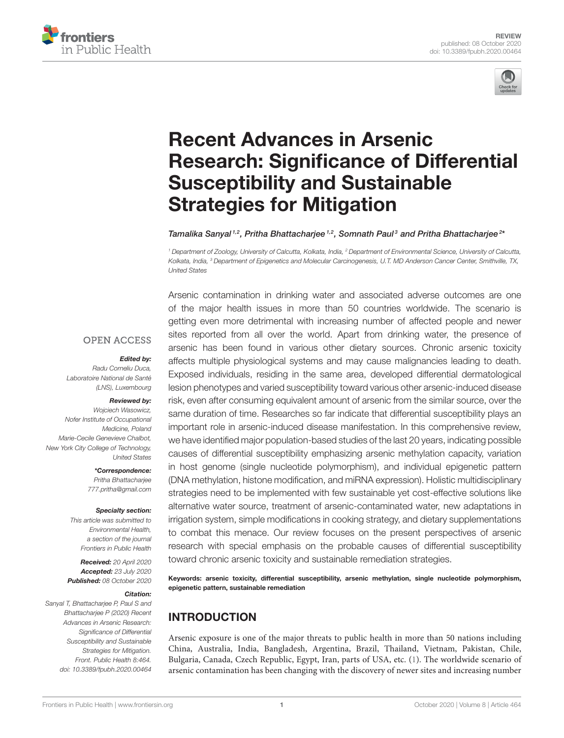



# Recent Advances in Arsenic Research: Significance of Differential Susceptibility and Sustainable Strategies for Mitigation

#### Tamalika Sanyal  $^{1,2}$ , Pritha Bhattacharjee  $^{1,2}$ , Somnath Paul $^3$  and Pritha Bhattacharjee  $^{2*}$

<sup>1</sup> Department of Zoology, University of Calcutta, Kolkata, India, <sup>2</sup> Department of Environmental Science, University of Calcutta, Kolkata, India, <sup>3</sup> Department of Epigenetics and Molecular Carcinogenesis, U.T. MD Anderson Cancer Center, Smithville, TX, United States

#### **OPEN ACCESS**

#### Edited by:

Radu Corneliu Duca, Laboratoire National de Santé (LNS), Luxembourg

#### Reviewed by:

Wojciech Wasowicz, Nofer Institute of Occupational Medicine, Poland Marie-Cecile Genevieve Chalbot, New York City College of Technology, United States

> \*Correspondence: Pritha Bhattacharjee 777.pritha@gmail.com

#### Specialty section:

This article was submitted to Environmental Health, a section of the journal Frontiers in Public Health

Received: 20 April 2020 Accepted: 23 July 2020 Published: 08 October 2020

#### Citation:

Sanyal T, Bhattacharjee P, Paul S and Bhattacharjee P (2020) Recent Advances in Arsenic Research: Significance of Differential Susceptibility and Sustainable Strategies for Mitigation. Front. Public Health 8:464. doi: 10.3389/fpubh.2020.00464

Arsenic contamination in drinking water and associated adverse outcomes are one of the major health issues in more than 50 countries worldwide. The scenario is getting even more detrimental with increasing number of affected people and newer sites reported from all over the world. Apart from drinking water, the presence of arsenic has been found in various other dietary sources. Chronic arsenic toxicity affects multiple physiological systems and may cause malignancies leading to death. Exposed individuals, residing in the same area, developed differential dermatological lesion phenotypes and varied susceptibility toward various other arsenic-induced disease risk, even after consuming equivalent amount of arsenic from the similar source, over the same duration of time. Researches so far indicate that differential susceptibility plays an important role in arsenic-induced disease manifestation. In this comprehensive review, we have identified major population-based studies of the last 20 years, indicating possible causes of differential susceptibility emphasizing arsenic methylation capacity, variation in host genome (single nucleotide polymorphism), and individual epigenetic pattern (DNA methylation, histone modification, and miRNA expression). Holistic multidisciplinary strategies need to be implemented with few sustainable yet cost-effective solutions like alternative water source, treatment of arsenic-contaminated water, new adaptations in irrigation system, simple modifications in cooking strategy, and dietary supplementations to combat this menace. Our review focuses on the present perspectives of arsenic research with special emphasis on the probable causes of differential susceptibility toward chronic arsenic toxicity and sustainable remediation strategies.

Keywords: arsenic toxicity, differential susceptibility, arsenic methylation, single nucleotide polymorphism, epigenetic pattern, sustainable remediation

# INTRODUCTION

Arsenic exposure is one of the major threats to public health in more than 50 nations including China, Australia, India, Bangladesh, Argentina, Brazil, Thailand, Vietnam, Pakistan, Chile, Bulgaria, Canada, Czech Republic, Egypt, Iran, parts of USA, etc. (1). The worldwide scenario of arsenic contamination has been changing with the discovery of newer sites and increasing number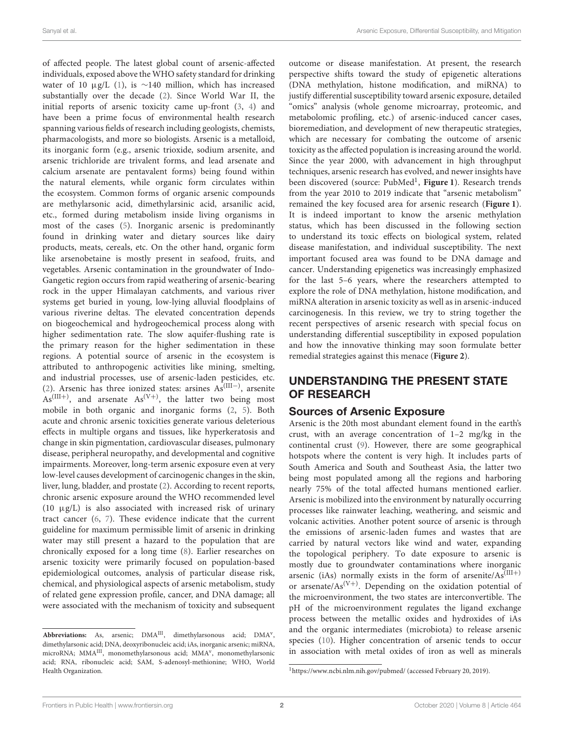of affected people. The latest global count of arsenic-affected individuals, exposed above the WHO safety standard for drinking water of 10 μg/L (1), is ~140 million, which has increased substantially over the decade (2). Since World War II, the initial reports of arsenic toxicity came up-front (3, 4) and have been a prime focus of environmental health research spanning various fields of research including geologists, chemists, pharmacologists, and more so biologists. Arsenic is a metalloid, its inorganic form (e.g., arsenic trioxide, sodium arsenite, and arsenic trichloride are trivalent forms, and lead arsenate and calcium arsenate are pentavalent forms) being found within the natural elements, while organic form circulates within the ecosystem. Common forms of organic arsenic compounds are methylarsonic acid, dimethylarsinic acid, arsanilic acid, etc., formed during metabolism inside living organisms in most of the cases (5). Inorganic arsenic is predominantly found in drinking water and dietary sources like dairy products, meats, cereals, etc. On the other hand, organic form like arsenobetaine is mostly present in seafood, fruits, and vegetables. Arsenic contamination in the groundwater of Indo-Gangetic region occurs from rapid weathering of arsenic-bearing rock in the upper Himalayan catchments, and various river systems get buried in young, low-lying alluvial floodplains of various riverine deltas. The elevated concentration depends on biogeochemical and hydrogeochemical process along with higher sedimentation rate. The slow aquifer-flushing rate is the primary reason for the higher sedimentation in these regions. A potential source of arsenic in the ecosystem is attributed to anthropogenic activities like mining, smelting, and industrial processes, use of arsenic-laden pesticides, etc. (2). Arsenic has three ionized states: arsines As(III−) , arsenite  $As^{(III+)}$ , and arsenate  $As^{(V+)}$ , the latter two being most mobile in both organic and inorganic forms (2, 5). Both acute and chronic arsenic toxicities generate various deleterious effects in multiple organs and tissues, like hyperkeratosis and change in skin pigmentation, cardiovascular diseases, pulmonary disease, peripheral neuropathy, and developmental and cognitive impairments. Moreover, long-term arsenic exposure even at very low-level causes development of carcinogenic changes in the skin, liver, lung, bladder, and prostate (2). According to recent reports, chronic arsenic exposure around the WHO recommended level (10  $\mu$ g/L) is also associated with increased risk of urinary tract cancer (6, 7). These evidence indicate that the current guideline for maximum permissible limit of arsenic in drinking water may still present a hazard to the population that are chronically exposed for a long time (8). Earlier researches on arsenic toxicity were primarily focused on population-based epidemiological outcomes, analysis of particular disease risk, chemical, and physiological aspects of arsenic metabolism, study of related gene expression profile, cancer, and DNA damage; all were associated with the mechanism of toxicity and subsequent outcome or disease manifestation. At present, the research perspective shifts toward the study of epigenetic alterations (DNA methylation, histone modification, and miRNA) to justify differential susceptibility toward arsenic exposure, detailed "omics" analysis (whole genome microarray, proteomic, and metabolomic profiling, etc.) of arsenic-induced cancer cases, bioremediation, and development of new therapeutic strategies, which are necessary for combating the outcome of arsenic toxicity as the affected population is increasing around the world. Since the year 2000, with advancement in high throughput techniques, arsenic research has evolved, and newer insights have been discovered (source: PubMed<sup>1</sup>, Figure 1). Research trends from the year 2010 to 2019 indicate that "arsenic metabolism" remained the key focused area for arsenic research (**Figure 1**). It is indeed important to know the arsenic methylation status, which has been discussed in the following section to understand its toxic effects on biological system, related disease manifestation, and individual susceptibility. The next important focused area was found to be DNA damage and cancer. Understanding epigenetics was increasingly emphasized for the last 5–6 years, where the researchers attempted to explore the role of DNA methylation, histone modification, and miRNA alteration in arsenic toxicity as well as in arsenic-induced carcinogenesis. In this review, we try to string together the recent perspectives of arsenic research with special focus on understanding differential susceptibility in exposed population and how the innovative thinking may soon formulate better remedial strategies against this menace (**Figure 2**).

## UNDERSTANDING THE PRESENT STATE OF RESEARCH

## Sources of Arsenic Exposure

Arsenic is the 20th most abundant element found in the earth's crust, with an average concentration of 1–2 mg/kg in the continental crust (9). However, there are some geographical hotspots where the content is very high. It includes parts of South America and South and Southeast Asia, the latter two being most populated among all the regions and harboring nearly 75% of the total affected humans mentioned earlier. Arsenic is mobilized into the environment by naturally occurring processes like rainwater leaching, weathering, and seismic and volcanic activities. Another potent source of arsenic is through the emissions of arsenic-laden fumes and wastes that are carried by natural vectors like wind and water, expanding the topological periphery. To date exposure to arsenic is mostly due to groundwater contaminations where inorganic arsenic (iAs) normally exists in the form of arsenite/ $As^{(III+)}$ or arsenate/ $As^{(V+)}$ . Depending on the oxidation potential of the microenvironment, the two states are interconvertible. The pH of the microenvironment regulates the ligand exchange process between the metallic oxides and hydroxides of iAs and the organic intermediates (microbiota) to release arsenic species (10). Higher concentration of arsenic tends to occur in association with metal oxides of iron as well as minerals

Abbreviations: As, arsenic;  $DMA^{III}$ , dimethylarsonous acid;  $DMA^{V}$ , dimethylarsonic acid; DNA, deoxyribonucleic acid; iAs, inorganic arsenic; miRNA, microRNA; MMAII, monomethylarsonous acid; MMA<sup>v</sup>, monomethylarsonic acid; RNA, ribonucleic acid; SAM, S-adenosyl-methionine; WHO, World Health Organization.

<sup>1</sup>https://www.ncbi.nlm.nih.gov/pubmed/ (accessed February 20, 2019).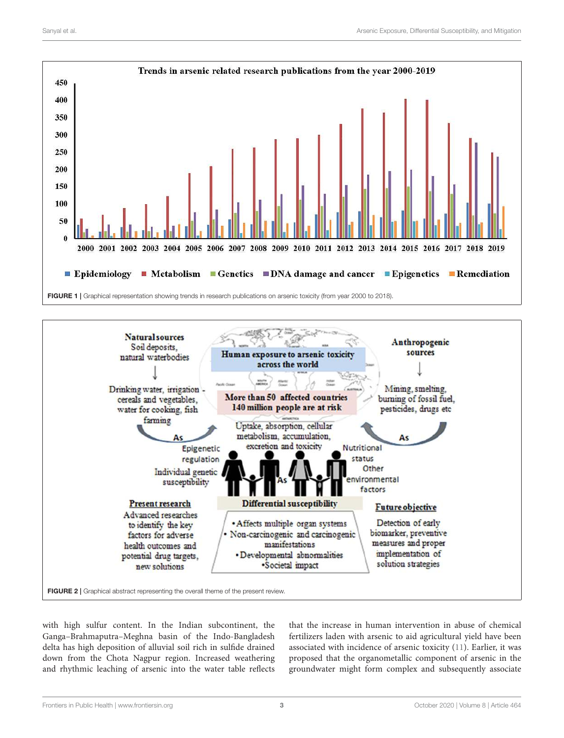



with high sulfur content. In the Indian subcontinent, the Ganga–Brahmaputra–Meghna basin of the Indo-Bangladesh delta has high deposition of alluvial soil rich in sulfide drained down from the Chota Nagpur region. Increased weathering and rhythmic leaching of arsenic into the water table reflects that the increase in human intervention in abuse of chemical fertilizers laden with arsenic to aid agricultural yield have been associated with incidence of arsenic toxicity (11). Earlier, it was proposed that the organometallic component of arsenic in the groundwater might form complex and subsequently associate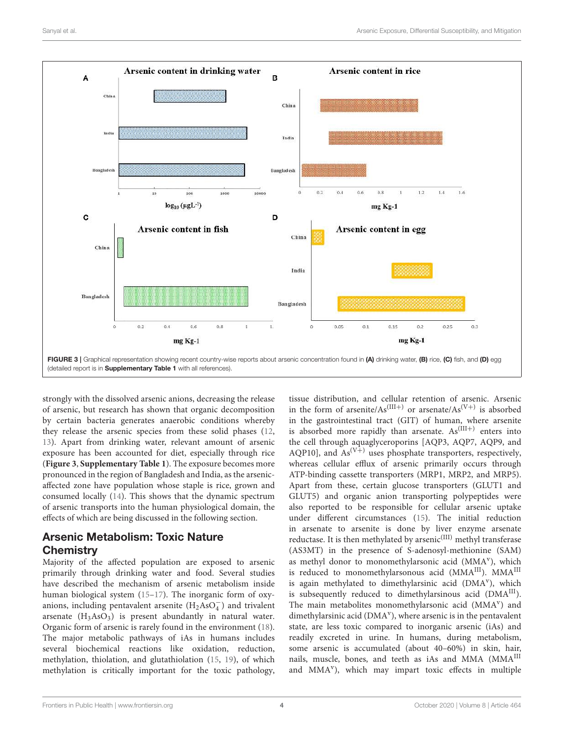

strongly with the dissolved arsenic anions, decreasing the release of arsenic, but research has shown that organic decomposition by certain bacteria generates anaerobic conditions whereby they release the arsenic species from these solid phases (12, 13). Apart from drinking water, relevant amount of arsenic exposure has been accounted for diet, especially through rice (**Figure 3**, **Supplementary Table 1**). The exposure becomes more pronounced in the region of Bangladesh and India, as the arsenicaffected zone have population whose staple is rice, grown and consumed locally (14). This shows that the dynamic spectrum of arsenic transports into the human physiological domain, the effects of which are being discussed in the following section.

# Arsenic Metabolism: Toxic Nature **Chemistry**

Majority of the affected population are exposed to arsenic primarily through drinking water and food. Several studies have described the mechanism of arsenic metabolism inside human biological system (15–17). The inorganic form of oxyanions, including pentavalent arsenite  $(H_2AsO<sub>4</sub><sup>-</sup>)$  and trivalent arsenate  $(H_3AsO_3)$  is present abundantly in natural water. Organic form of arsenic is rarely found in the environment (18). The major metabolic pathways of iAs in humans includes several biochemical reactions like oxidation, reduction, methylation, thiolation, and glutathiolation (15, 19), of which methylation is critically important for the toxic pathology, tissue distribution, and cellular retention of arsenic. Arsenic in the form of arsenite/ $As^{(III+)}$  or arsenate/ $As^{(V+)}$  is absorbed in the gastrointestinal tract (GIT) of human, where arsenite is absorbed more rapidly than arsenate.  $As^{(III+)}$  enters into the cell through aquaglyceroporins [AQP3, AQP7, AQP9, and AQP10], and  $As^{(V+)}$  uses phosphate transporters, respectively, whereas cellular efflux of arsenic primarily occurs through ATP-binding cassette transporters (MRP1, MRP2, and MRP5). Apart from these, certain glucose transporters (GLUT1 and GLUT5) and organic anion transporting polypeptides were also reported to be responsible for cellular arsenic uptake under different circumstances (15). The initial reduction in arsenate to arsenite is done by liver enzyme arsenate reductase. It is then methylated by arsenic<sup>(III)</sup> methyl transferase (AS3MT) in the presence of S-adenosyl-methionine (SAM) as methyl donor to monomethylarsonic acid (MMA<sup>v</sup>), which is reduced to monomethylarsonous acid (MMAIII). MMAIII is again methylated to dimethylarsinic acid (DMA<sup>v</sup>), which is subsequently reduced to dimethylarsinous acid  $(DMA<sup>III</sup>)$ . The main metabolites monomethylarsonic acid (MMA<sup>v</sup>) and dimethylarsinic acid (DMA<sup>v</sup>), where arsenic is in the pentavalent state, are less toxic compared to inorganic arsenic (iAs) and readily excreted in urine. In humans, during metabolism, some arsenic is accumulated (about 40–60%) in skin, hair, nails, muscle, bones, and teeth as iAs and MMA (MMAIII and MMA<sup>v</sup>), which may impart toxic effects in multiple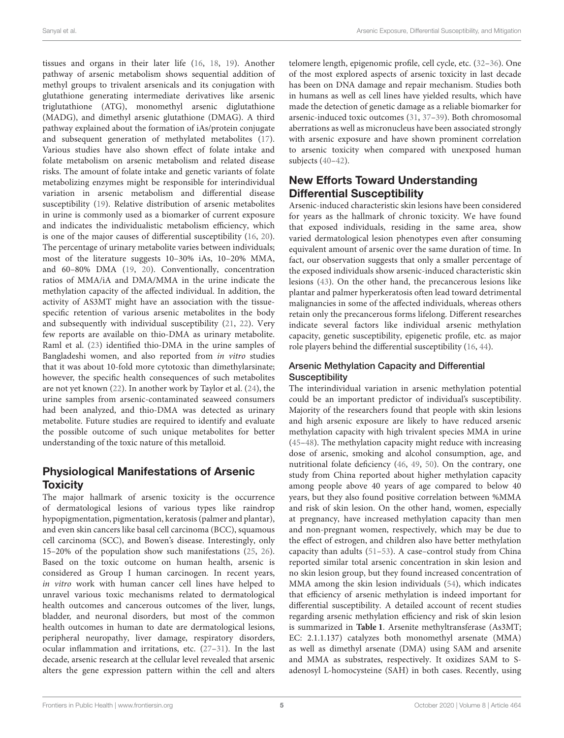tissues and organs in their later life (16, 18, 19). Another pathway of arsenic metabolism shows sequential addition of methyl groups to trivalent arsenicals and its conjugation with glutathione generating intermediate derivatives like arsenic triglutathione (ATG), monomethyl arsenic diglutathione (MADG), and dimethyl arsenic glutathione (DMAG). A third pathway explained about the formation of iAs/protein conjugate and subsequent generation of methylated metabolites (17). Various studies have also shown effect of folate intake and folate metabolism on arsenic metabolism and related disease risks. The amount of folate intake and genetic variants of folate metabolizing enzymes might be responsible for interindividual variation in arsenic metabolism and differential disease susceptibility (19). Relative distribution of arsenic metabolites in urine is commonly used as a biomarker of current exposure and indicates the individualistic metabolism efficiency, which is one of the major causes of differential susceptibility (16, 20). The percentage of urinary metabolite varies between individuals; most of the literature suggests 10–30% iAs, 10–20% MMA, and 60–80% DMA (19, 20). Conventionally, concentration ratios of MMA/iA and DMA/MMA in the urine indicate the methylation capacity of the affected individual. In addition, the activity of AS3MT might have an association with the tissuespecific retention of various arsenic metabolites in the body and subsequently with individual susceptibility (21, 22). Very few reports are available on thio-DMA as urinary metabolite. Raml et al. (23) identified thio-DMA in the urine samples of Bangladeshi women, and also reported from in vitro studies that it was about 10-fold more cytotoxic than dimethylarsinate; however, the specific health consequences of such metabolites are not yet known (22). In another work by Taylor et al. (24), the urine samples from arsenic-contaminated seaweed consumers had been analyzed, and thio-DMA was detected as urinary metabolite. Future studies are required to identify and evaluate the possible outcome of such unique metabolites for better understanding of the toxic nature of this metalloid.

## Physiological Manifestations of Arsenic **Toxicity**

The major hallmark of arsenic toxicity is the occurrence of dermatological lesions of various types like raindrop hypopigmentation, pigmentation, keratosis (palmer and plantar), and even skin cancers like basal cell carcinoma (BCC), squamous cell carcinoma (SCC), and Bowen's disease. Interestingly, only 15–20% of the population show such manifestations (25, 26). Based on the toxic outcome on human health, arsenic is considered as Group I human carcinogen. In recent years, in vitro work with human cancer cell lines have helped to unravel various toxic mechanisms related to dermatological health outcomes and cancerous outcomes of the liver, lungs, bladder, and neuronal disorders, but most of the common health outcomes in human to date are dermatological lesions, peripheral neuropathy, liver damage, respiratory disorders, ocular inflammation and irritations, etc. (27–31). In the last decade, arsenic research at the cellular level revealed that arsenic alters the gene expression pattern within the cell and alters telomere length, epigenomic profile, cell cycle, etc. (32–36). One of the most explored aspects of arsenic toxicity in last decade has been on DNA damage and repair mechanism. Studies both in humans as well as cell lines have yielded results, which have made the detection of genetic damage as a reliable biomarker for arsenic-induced toxic outcomes (31, 37–39). Both chromosomal aberrations as well as micronucleus have been associated strongly with arsenic exposure and have shown prominent correlation to arsenic toxicity when compared with unexposed human subjects (40–42).

# New Efforts Toward Understanding Differential Susceptibility

Arsenic-induced characteristic skin lesions have been considered for years as the hallmark of chronic toxicity. We have found that exposed individuals, residing in the same area, show varied dermatological lesion phenotypes even after consuming equivalent amount of arsenic over the same duration of time. In fact, our observation suggests that only a smaller percentage of the exposed individuals show arsenic-induced characteristic skin lesions (43). On the other hand, the precancerous lesions like plantar and palmer hyperkeratosis often lead toward detrimental malignancies in some of the affected individuals, whereas others retain only the precancerous forms lifelong. Different researches indicate several factors like individual arsenic methylation capacity, genetic susceptibility, epigenetic profile, etc. as major role players behind the differential susceptibility (16, 44).

## Arsenic Methylation Capacity and Differential **Susceptibility**

The interindividual variation in arsenic methylation potential could be an important predictor of individual's susceptibility. Majority of the researchers found that people with skin lesions and high arsenic exposure are likely to have reduced arsenic methylation capacity with high trivalent species MMA in urine (45–48). The methylation capacity might reduce with increasing dose of arsenic, smoking and alcohol consumption, age, and nutritional folate deficiency (46, 49, 50). On the contrary, one study from China reported about higher methylation capacity among people above 40 years of age compared to below 40 years, but they also found positive correlation between %MMA and risk of skin lesion. On the other hand, women, especially at pregnancy, have increased methylation capacity than men and non-pregnant women, respectively, which may be due to the effect of estrogen, and children also have better methylation capacity than adults (51–53). A case–control study from China reported similar total arsenic concentration in skin lesion and no skin lesion group, but they found increased concentration of MMA among the skin lesion individuals (54), which indicates that efficiency of arsenic methylation is indeed important for differential susceptibility. A detailed account of recent studies regarding arsenic methylation efficiency and risk of skin lesion is summarized in **Table 1**. Arsenite methyltransferase (As3MT; EC: 2.1.1.137) catalyzes both monomethyl arsenate (MMA) as well as dimethyl arsenate (DMA) using SAM and arsenite and MMA as substrates, respectively. It oxidizes SAM to Sadenosyl L-homocysteine (SAH) in both cases. Recently, using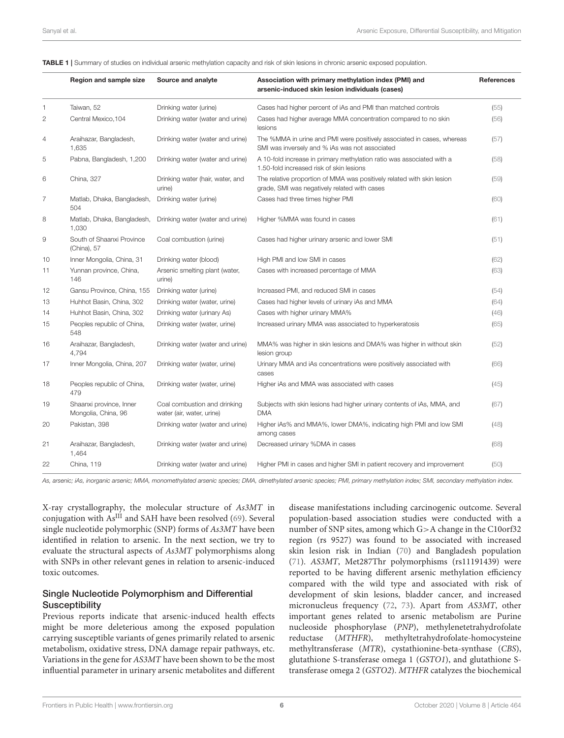|                | Region and sample size                         | Source and analyte                                        | Association with primary methylation index (PMI) and<br>arsenic-induced skin lesion individuals (cases)                  | <b>References</b> |
|----------------|------------------------------------------------|-----------------------------------------------------------|--------------------------------------------------------------------------------------------------------------------------|-------------------|
| 1              | Taiwan, 52                                     | Drinking water (urine)                                    | Cases had higher percent of iAs and PMI than matched controls                                                            | (55)              |
| 2              | Central Mexico, 104                            | Drinking water (water and urine)                          | Cases had higher average MMA concentration compared to no skin<br>lesions                                                | (56)              |
| 4              | Araihazar, Bangladesh,<br>1,635                | Drinking water (water and urine)                          | The %MMA in urine and PMI were positively associated in cases, whereas<br>SMI was inversely and % iAs was not associated | (57)              |
| 5              | Pabna, Bangladesh, 1,200                       | Drinking water (water and urine)                          | A 10-fold increase in primary methylation ratio was associated with a<br>1.50-fold increased risk of skin lesions        | (58)              |
| 6              | China, 327                                     | Drinking water (hair, water, and<br>urine)                | The relative proportion of MMA was positively related with skin lesion<br>grade, SMI was negatively related with cases   | (59)              |
| $\overline{7}$ | Matlab, Dhaka, Bangladesh,<br>504              | Drinking water (urine)                                    | Cases had three times higher PMI                                                                                         | (60)              |
| 8              | Matlab, Dhaka, Bangladesh,<br>1,030            | Drinking water (water and urine)                          | Higher %MMA was found in cases                                                                                           | (61)              |
| 9              | South of Shaanxi Province<br>(China), 57       | Coal combustion (urine)                                   | Cases had higher urinary arsenic and lower SMI                                                                           | (51)              |
| 10             | Inner Mongolia, China, 31                      | Drinking water (blood)                                    | High PMI and low SMI in cases                                                                                            | (62)              |
| 11             | Yunnan province, China,<br>146                 | Arsenic smelting plant (water,<br>urine)                  | Cases with increased percentage of MMA                                                                                   | (63)              |
| 12             | Gansu Province, China, 155                     | Drinking water (urine)                                    | Increased PMI, and reduced SMI in cases                                                                                  | (54)              |
| 13             | Huhhot Basin, China, 302                       | Drinking water (water, urine)                             | Cases had higher levels of urinary iAs and MMA                                                                           | (64)              |
| 14             | Huhhot Basin, China, 302                       | Drinking water (urinary As)                               | Cases with higher urinary MMA%                                                                                           | (46)              |
| 15             | Peoples republic of China,<br>548              | Drinking water (water, urine)                             | Increased urinary MMA was associated to hyperkeratosis                                                                   | (65)              |
| 16             | Araihazar, Bangladesh,<br>4,794                | Drinking water (water and urine)                          | MMA% was higher in skin lesions and DMA% was higher in without skin<br>lesion group                                      | (52)              |
| 17             | Inner Mongolia, China, 207                     | Drinking water (water, urine)                             | Urinary MMA and iAs concentrations were positively associated with<br>cases                                              | (66)              |
| 18             | Peoples republic of China,<br>479              | Drinking water (water, urine)                             | Higher iAs and MMA was associated with cases                                                                             | (45)              |
| 19             | Shaanxi province, Inner<br>Mongolia, China, 96 | Coal combustion and drinking<br>water (air, water, urine) | Subjects with skin lesions had higher urinary contents of iAs, MMA, and<br><b>DMA</b>                                    | (67)              |
| 20             | Pakistan, 398                                  | Drinking water (water and urine)                          | Higher iAs% and MMA%, lower DMA%, indicating high PMI and low SMI<br>among cases                                         | (48)              |
| 21             | Araihazar, Bangladesh,<br>1,464                | Drinking water (water and urine)                          | Decreased urinary %DMA in cases                                                                                          | (68)              |
| 22             | China, 119                                     | Drinking water (water and urine)                          | Higher PMI in cases and higher SMI in patient recovery and improvement                                                   | (50)              |

As, arsenic; iAs, inorganic arsenic; MMA, monomethylated arsenic species; DMA, dimethylated arsenic species; PMI, primary methylation index; SMI, secondary methylation index.

X-ray crystallography, the molecular structure of As3MT in conjugation with  $As^{III}$  and SAH have been resolved (69). Several single nucleotide polymorphic (SNP) forms of As3MT have been identified in relation to arsenic. In the next section, we try to evaluate the structural aspects of As3MT polymorphisms along with SNPs in other relevant genes in relation to arsenic-induced toxic outcomes.

#### Single Nucleotide Polymorphism and Differential **Susceptibility**

Previous reports indicate that arsenic-induced health effects might be more deleterious among the exposed population carrying susceptible variants of genes primarily related to arsenic metabolism, oxidative stress, DNA damage repair pathways, etc. Variations in the gene for AS3MT have been shown to be the most influential parameter in urinary arsenic metabolites and different disease manifestations including carcinogenic outcome. Several population-based association studies were conducted with a number of SNP sites, among which G>A change in the C10orf32 region (rs 9527) was found to be associated with increased skin lesion risk in Indian (70) and Bangladesh population (71). AS3MT, Met287Thr polymorphisms (rs11191439) were reported to be having different arsenic methylation efficiency compared with the wild type and associated with risk of development of skin lesions, bladder cancer, and increased micronucleus frequency (72, 73). Apart from AS3MT, other important genes related to arsenic metabolism are Purine nucleoside phosphorylase (PNP), methylenetetrahydrofolate reductase (MTHFR), methyltetrahydrofolate-homocysteine methyltransferase (MTR), cystathionine-beta-synthase (CBS), glutathione S-transferase omega 1 (GSTO1), and glutathione Stransferase omega 2 (GSTO2). MTHFR catalyzes the biochemical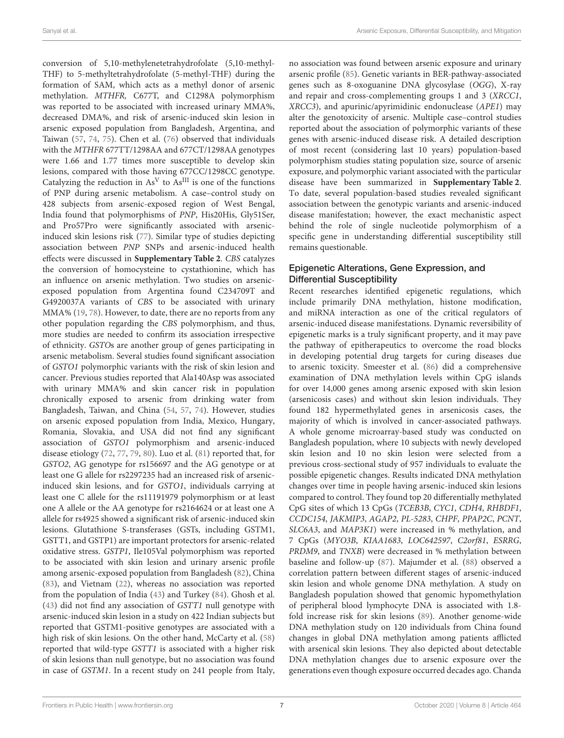conversion of 5,10-methylenetetrahydrofolate (5,10-methyl-THF) to 5-methyltetrahydrofolate (5-methyl-THF) during the formation of SAM, which acts as a methyl donor of arsenic methylation. MTHFR, C677T, and C1298A polymorphism was reported to be associated with increased urinary MMA%, decreased DMA%, and risk of arsenic-induced skin lesion in arsenic exposed population from Bangladesh, Argentina, and Taiwan (57, 74, 75). Chen et al. (76) observed that individuals with the MTHFR 677TT/1298AA and 677CT/1298AA genotypes were 1.66 and 1.77 times more susceptible to develop skin lesions, compared with those having 677CC/1298CC genotype. Catalyzing the reduction in  $As<sup>V</sup>$  to  $As<sup>III</sup>$  is one of the functions of PNP during arsenic metabolism. A case–control study on 428 subjects from arsenic-exposed region of West Bengal, India found that polymorphisms of PNP, His20His, Gly51Ser, and Pro57Pro were significantly associated with arsenicinduced skin lesions risk (77). Similar type of studies depicting association between PNP SNPs and arsenic-induced health effects were discussed in **Supplementary Table 2**. CBS catalyzes the conversion of homocysteine to cystathionine, which has an influence on arsenic methylation. Two studies on arsenicexposed population from Argentina found C234709T and G4920037A variants of CBS to be associated with urinary MMA% (19, 78). However, to date, there are no reports from any other population regarding the CBS polymorphism, and thus, more studies are needed to confirm its association irrespective of ethnicity. GSTOs are another group of genes participating in arsenic metabolism. Several studies found significant association of GSTO1 polymorphic variants with the risk of skin lesion and cancer. Previous studies reported that Ala140Asp was associated with urinary MMA% and skin cancer risk in population chronically exposed to arsenic from drinking water from Bangladesh, Taiwan, and China (54, 57, 74). However, studies on arsenic exposed population from India, Mexico, Hungary, Romania, Slovakia, and USA did not find any significant association of GSTO1 polymorphism and arsenic-induced disease etiology (72, 77, 79, 80). Luo et al. (81) reported that, for GSTO2, AG genotype for rs156697 and the AG genotype or at least one G allele for rs2297235 had an increased risk of arsenicinduced skin lesions, and for GSTO1, individuals carrying at least one C allele for the rs11191979 polymorphism or at least one A allele or the AA genotype for rs2164624 or at least one A allele for rs4925 showed a significant risk of arsenic-induced skin lesions. Glutathione S-transferases (GSTs, including GSTM1, GSTT1, and GSTP1) are important protectors for arsenic-related oxidative stress. GSTP1, Ile105Val polymorphism was reported to be associated with skin lesion and urinary arsenic profile among arsenic-exposed population from Bangladesh (82), China (83), and Vietnam (22), whereas no association was reported from the population of India (43) and Turkey (84). Ghosh et al. (43) did not find any association of GSTT1 null genotype with arsenic-induced skin lesion in a study on 422 Indian subjects but reported that GSTM1-positive genotypes are associated with a high risk of skin lesions. On the other hand, McCarty et al. (58) reported that wild-type GSTT1 is associated with a higher risk of skin lesions than null genotype, but no association was found in case of GSTM1. In a recent study on 241 people from Italy, no association was found between arsenic exposure and urinary arsenic profile (85). Genetic variants in BER-pathway-associated genes such as 8-oxoguanine DNA glycosylase (OGG), X-ray and repair and cross-complementing groups 1 and 3 (XRCC1, XRCC3), and apurinic/apyrimidinic endonuclease (APE1) may alter the genotoxicity of arsenic. Multiple case–control studies reported about the association of polymorphic variants of these genes with arsenic-induced disease risk. A detailed description of most recent (considering last 10 years) population-based polymorphism studies stating population size, source of arsenic exposure, and polymorphic variant associated with the particular disease have been summarized in **Supplementary Table 2**. To date, several population-based studies revealed significant association between the genotypic variants and arsenic-induced disease manifestation; however, the exact mechanistic aspect behind the role of single nucleotide polymorphism of a specific gene in understanding differential susceptibility still remains questionable.

### Epigenetic Alterations, Gene Expression, and Differential Susceptibility

Recent researches identified epigenetic regulations, which include primarily DNA methylation, histone modification, and miRNA interaction as one of the critical regulators of arsenic-induced disease manifestations. Dynamic reversibility of epigenetic marks is a truly significant property, and it may pave the pathway of epitherapeutics to overcome the road blocks in developing potential drug targets for curing diseases due to arsenic toxicity. Smeester et al. (86) did a comprehensive examination of DNA methylation levels within CpG islands for over 14,000 genes among arsenic exposed with skin lesion (arsenicosis cases) and without skin lesion individuals. They found 182 hypermethylated genes in arsenicosis cases, the majority of which is involved in cancer-associated pathways. A whole genome microarray-based study was conducted on Bangladesh population, where 10 subjects with newly developed skin lesion and 10 no skin lesion were selected from a previous cross-sectional study of 957 individuals to evaluate the possible epigenetic changes. Results indicated DNA methylation changes over time in people having arsenic-induced skin lesions compared to control. They found top 20 differentially methylated CpG sites of which 13 CpGs (TCEB3B, CYC1, CDH4, RHBDF1, CCDC154, JAKMIP3, AGAP2, PL-5283, CHPF, PPAP2C, PCNT, SLC6A3, and MAP3K1) were increased in % methylation, and 7 CpGs (MYO3B, KIAA1683, LOC642597, C2orf81, ESRRG, PRDM9, and TNXB) were decreased in % methylation between baseline and follow-up (87). Majumder et al. (88) observed a correlation pattern between different stages of arsenic-induced skin lesion and whole genome DNA methylation. A study on Bangladesh population showed that genomic hypomethylation of peripheral blood lymphocyte DNA is associated with 1.8 fold increase risk for skin lesions (89). Another genome-wide DNA methylation study on 120 individuals from China found changes in global DNA methylation among patients afflicted with arsenical skin lesions. They also depicted about detectable DNA methylation changes due to arsenic exposure over the generations even though exposure occurred decades ago. Chanda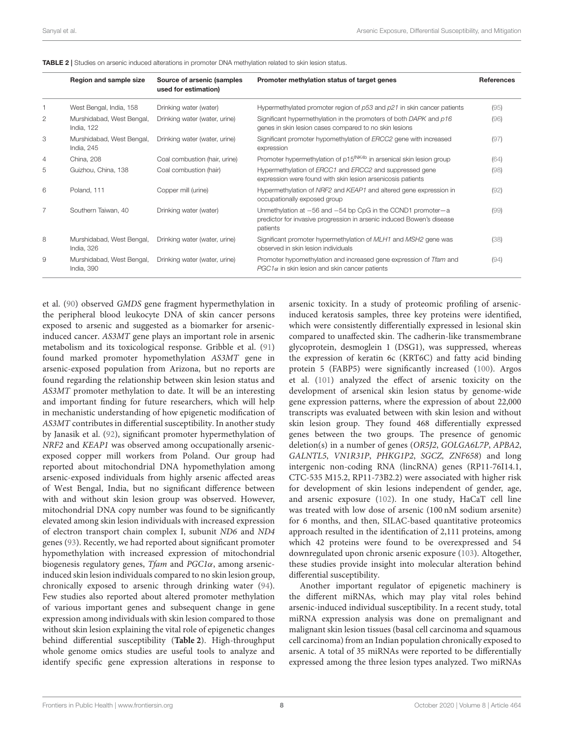|                | Region and sample size                         | Source of arsenic (samples<br>used for estimation) | Promoter methylation status of target genes                                                                                                          | <b>References</b> |
|----------------|------------------------------------------------|----------------------------------------------------|------------------------------------------------------------------------------------------------------------------------------------------------------|-------------------|
|                | West Bengal, India, 158                        | Drinking water (water)                             | Hypermethylated promoter region of $p53$ and $p21$ in skin cancer patients                                                                           | (95)              |
| $\overline{c}$ | Murshidabad, West Bengal,<br><b>India, 122</b> | Drinking water (water, urine)                      | Significant hypermethylation in the promoters of both DAPK and p16<br>genes in skin lesion cases compared to no skin lesions                         | (96)              |
| 3              | Murshidabad, West Bengal,<br>India, 245        | Drinking water (water, urine)                      | Significant promoter hypomethylation of ERCC2 gene with increased<br>expression                                                                      | (97)              |
| $\overline{4}$ | China, 208                                     | Coal combustion (hair, urine)                      | Promoter hypermethylation of p15 <sup>INK4b</sup> in arsenical skin lesion group                                                                     | (64)              |
| 5              | Guizhou, China, 138                            | Coal combustion (hair)                             | Hypermethylation of ERCC1 and ERCC2 and suppressed gene<br>expression were found with skin lesion arsenicosis patients                               | (98)              |
| 6              | Poland, 111                                    | Copper mill (urine)                                | Hypermethylation of NRF2 and KEAP1 and altered gene expression in<br>occupationally exposed group                                                    | (92)              |
| 7              | Southern Taiwan, 40                            | Drinking water (water)                             | Unmethylation at $-56$ and $-54$ bp CpG in the CCND1 promoter-a<br>predictor for invasive progression in arsenic induced Bowen's disease<br>patients | (99)              |
| 8              | Murshidabad, West Bengal,<br>India, 326        | Drinking water (water, urine)                      | Significant promoter hypermethylation of MLH1 and MSH2 gene was<br>observed in skin lesion individuals                                               | (38)              |
| 9              | Murshidabad, West Bengal,<br>India, 390        | Drinking water (water, urine)                      | Promoter hypomethylation and increased gene expression of Tfam and<br>$PGC1\alpha$ in skin lesion and skin cancer patients                           | (94)              |

TABLE 2 | Studies on arsenic induced alterations in promoter DNA methylation related to skin lesion status.

et al. (90) observed GMDS gene fragment hypermethylation in the peripheral blood leukocyte DNA of skin cancer persons exposed to arsenic and suggested as a biomarker for arsenicinduced cancer. AS3MT gene plays an important role in arsenic metabolism and its toxicological response. Gribble et al. (91) found marked promoter hypomethylation AS3MT gene in arsenic-exposed population from Arizona, but no reports are found regarding the relationship between skin lesion status and AS3MT promoter methylation to date. It will be an interesting and important finding for future researchers, which will help in mechanistic understanding of how epigenetic modification of AS3MT contributes in differential susceptibility. In another study by Janasik et al. (92), significant promoter hypermethylation of NRF2 and KEAP1 was observed among occupationally arsenicexposed copper mill workers from Poland. Our group had reported about mitochondrial DNA hypomethylation among arsenic-exposed individuals from highly arsenic affected areas of West Bengal, India, but no significant difference between with and without skin lesion group was observed. However, mitochondrial DNA copy number was found to be significantly elevated among skin lesion individuals with increased expression of electron transport chain complex I, subunit ND6 and ND4 genes (93). Recently, we had reported about significant promoter hypomethylation with increased expression of mitochondrial biogenesis regulatory genes, Tfam and PGC1α, among arsenicinduced skin lesion individuals compared to no skin lesion group, chronically exposed to arsenic through drinking water (94). Few studies also reported about altered promoter methylation of various important genes and subsequent change in gene expression among individuals with skin lesion compared to those without skin lesion explaining the vital role of epigenetic changes behind differential susceptibility (**Table 2**). High-throughput whole genome omics studies are useful tools to analyze and identify specific gene expression alterations in response to

arsenic toxicity. In a study of proteomic profiling of arsenicinduced keratosis samples, three key proteins were identified, which were consistently differentially expressed in lesional skin compared to unaffected skin. The cadherin-like transmembrane glycoprotein, desmoglein 1 (DSG1), was suppressed, whereas the expression of keratin 6c (KRT6C) and fatty acid binding protein 5 (FABP5) were significantly increased (100). Argos et al. (101) analyzed the effect of arsenic toxicity on the development of arsenical skin lesion status by genome-wide gene expression patterns, where the expression of about 22,000 transcripts was evaluated between with skin lesion and without skin lesion group. They found 468 differentially expressed genes between the two groups. The presence of genomic deletion(s) in a number of genes (OR5J2, GOLGA6L7P, APBA2, GALNTL5, VN1R31P, PHKG1P2, SGCZ, ZNF658) and long intergenic non-coding RNA (lincRNA) genes (RP11-76I14.1, CTC-535 M15.2, RP11-73B2.2) were associated with higher risk for development of skin lesions independent of gender, age, and arsenic exposure (102). In one study, HaCaT cell line was treated with low dose of arsenic (100 nM sodium arsenite) for 6 months, and then, SILAC-based quantitative proteomics approach resulted in the identification of 2,111 proteins, among which 42 proteins were found to be overexpressed and 54 downregulated upon chronic arsenic exposure (103). Altogether, these studies provide insight into molecular alteration behind differential susceptibility.

Another important regulator of epigenetic machinery is the different miRNAs, which may play vital roles behind arsenic-induced individual susceptibility. In a recent study, total miRNA expression analysis was done on premalignant and malignant skin lesion tissues (basal cell carcinoma and squamous cell carcinoma) from an Indian population chronically exposed to arsenic. A total of 35 miRNAs were reported to be differentially expressed among the three lesion types analyzed. Two miRNAs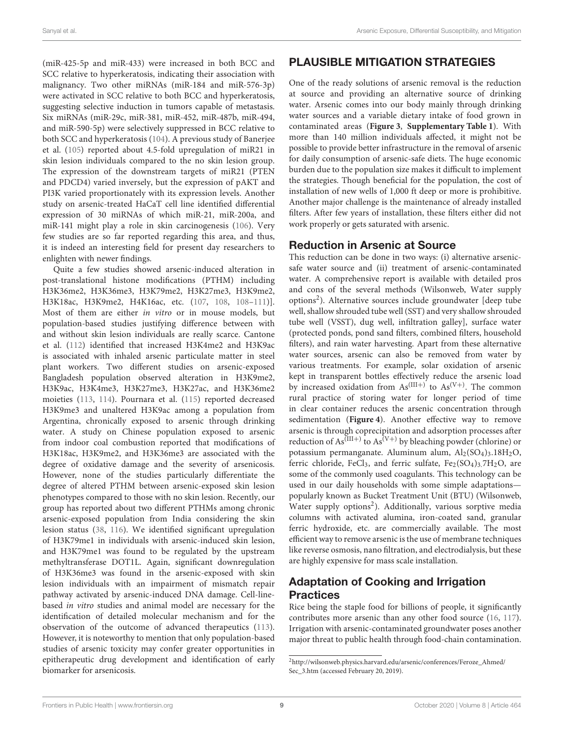(miR-425-5p and miR-433) were increased in both BCC and SCC relative to hyperkeratosis, indicating their association with malignancy. Two other miRNAs (miR-184 and miR-576-3p) were activated in SCC relative to both BCC and hyperkeratosis, suggesting selective induction in tumors capable of metastasis. Six miRNAs (miR-29c, miR-381, miR-452, miR-487b, miR-494, and miR-590-5p) were selectively suppressed in BCC relative to both SCC and hyperkeratosis (104). A previous study of Banerjee et al. (105) reported about 4.5-fold upregulation of miR21 in skin lesion individuals compared to the no skin lesion group. The expression of the downstream targets of miR21 (PTEN and PDCD4) varied inversely, but the expression of pAKT and PI3K varied proportionately with its expression levels. Another study on arsenic-treated HaCaT cell line identified differential expression of 30 miRNAs of which miR-21, miR-200a, and miR-141 might play a role in skin carcinogenesis (106). Very few studies are so far reported regarding this area, and thus, it is indeed an interesting field for present day researchers to enlighten with newer findings.

Quite a few studies showed arsenic-induced alteration in post-translational histone modifications (PTHM) including H3K36me2, H3K36me3, H3K79me2, H3K27me3, H3K9me2, H3K18ac, H3K9me2, H4K16ac, etc. (107, 108, 108-111)]. Most of them are either in vitro or in mouse models, but population-based studies justifying difference between with and without skin lesion individuals are really scarce. Cantone et al. (112) identified that increased H3K4me2 and H3K9ac is associated with inhaled arsenic particulate matter in steel plant workers. Two different studies on arsenic-exposed Bangladesh population observed alteration in H3K9me2, H3K9ac, H3K4me3, H3K27me3, H3K27ac, and H3K36me2 moieties (113, 114). Pournara et al. (115) reported decreased H3K9me3 and unaltered H3K9ac among a population from Argentina, chronically exposed to arsenic through drinking water. A study on Chinese population exposed to arsenic from indoor coal combustion reported that modifications of H3K18ac, H3K9me2, and H3K36me3 are associated with the degree of oxidative damage and the severity of arsenicosis. However, none of the studies particularly differentiate the degree of altered PTHM between arsenic-exposed skin lesion phenotypes compared to those with no skin lesion. Recently, our group has reported about two different PTHMs among chronic arsenic-exposed population from India considering the skin lesion status (38, 116). We identified significant upregulation of H3K79me1 in individuals with arsenic-induced skin lesion, and H3K79me1 was found to be regulated by the upstream methyltransferase DOT1L. Again, significant downregulation of H3K36me3 was found in the arsenic-exposed with skin lesion individuals with an impairment of mismatch repair pathway activated by arsenic-induced DNA damage. Cell-linebased in vitro studies and animal model are necessary for the identification of detailed molecular mechanism and for the observation of the outcome of advanced therapeutics (113). However, it is noteworthy to mention that only population-based studies of arsenic toxicity may confer greater opportunities in epitherapeutic drug development and identification of early biomarker for arsenicosis.

# PLAUSIBLE MITIGATION STRATEGIES

One of the ready solutions of arsenic removal is the reduction at source and providing an alternative source of drinking water. Arsenic comes into our body mainly through drinking water sources and a variable dietary intake of food grown in contaminated areas (**Figure 3**, **Supplementary Table 1**). With more than 140 million individuals affected, it might not be possible to provide better infrastructure in the removal of arsenic for daily consumption of arsenic-safe diets. The huge economic burden due to the population size makes it difficult to implement the strategies. Though beneficial for the population, the cost of installation of new wells of 1,000 ft deep or more is prohibitive. Another major challenge is the maintenance of already installed filters. After few years of installation, these filters either did not work properly or gets saturated with arsenic.

## Reduction in Arsenic at Source

This reduction can be done in two ways: (i) alternative arsenicsafe water source and (ii) treatment of arsenic-contaminated water. A comprehensive report is available with detailed pros and cons of the several methods (Wilsonweb, Water supply options<sup>2</sup>). Alternative sources include groundwater [deep tube well, shallow shrouded tube well (SST) and very shallow shrouded tube well (VSST), dug well, infiltration galley], surface water (protected ponds, pond sand filters, combined filters, household filters), and rain water harvesting. Apart from these alternative water sources, arsenic can also be removed from water by various treatments. For example, solar oxidation of arsenic kept in transparent bottles effectively reduce the arsenic load by increased oxidation from  $As^{(III+)}$  to  $As^{(V+)}$ . The common rural practice of storing water for longer period of time in clear container reduces the arsenic concentration through sedimentation (**Figure 4**). Another effective way to remove arsenic is through coprecipitation and adsorption processes after reduction of  $As^{(III+)}$  to  $As^{(V+)}$  by bleaching powder (chlorine) or potassium permanganate. Aluminum alum,  $Al<sub>2</sub>(SO<sub>4</sub>)<sub>3</sub>l<sub>3</sub>l<sub>2</sub>O$ , ferric chloride, FeCl<sub>3</sub>, and ferric sulfate, Fe<sub>2</sub>(SO<sub>4</sub>)<sub>3</sub>.7H<sub>2</sub>O, are some of the commonly used coagulants. This technology can be used in our daily households with some simple adaptations popularly known as Bucket Treatment Unit (BTU) (Wilsonweb, Water supply options<sup>2</sup>). Additionally, various sorptive media columns with activated alumina, iron-coated sand, granular ferric hydroxide, etc. are commercially available. The most efficient way to remove arsenic is the use of membrane techniques like reverse osmosis, nano filtration, and electrodialysis, but these are highly expensive for mass scale installation.

## Adaptation of Cooking and Irrigation **Practices**

Rice being the staple food for billions of people, it significantly contributes more arsenic than any other food source (16, 117). Irrigation with arsenic-contaminated groundwater poses another major threat to public health through food-chain contamination.

<sup>2</sup>http://wilsonweb.physics.harvard.edu/arsenic/conferences/Feroze\_Ahmed/ Sec\_3.htm (accessed February 20, 2019).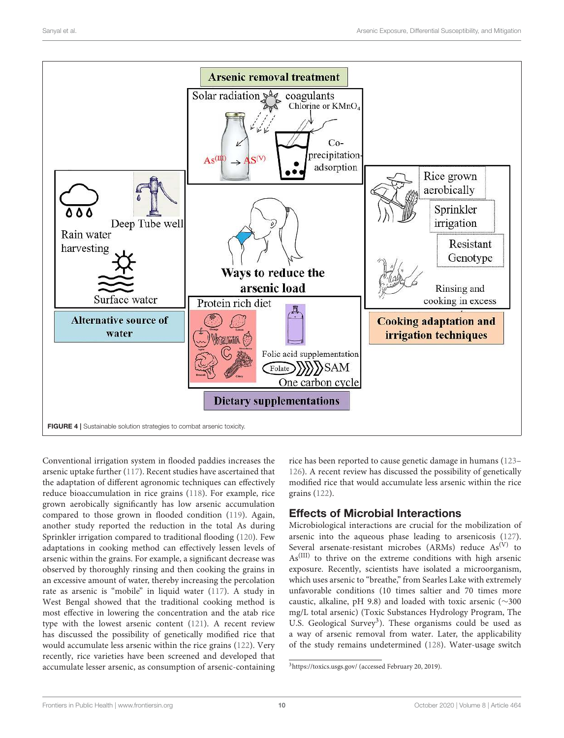

Conventional irrigation system in flooded paddies increases the arsenic uptake further (117). Recent studies have ascertained that the adaptation of different agronomic techniques can effectively reduce bioaccumulation in rice grains (118). For example, rice grown aerobically significantly has low arsenic accumulation compared to those grown in flooded condition (119). Again, another study reported the reduction in the total As during Sprinkler irrigation compared to traditional flooding (120). Few adaptations in cooking method can effectively lessen levels of arsenic within the grains. For example, a significant decrease was observed by thoroughly rinsing and then cooking the grains in an excessive amount of water, thereby increasing the percolation rate as arsenic is "mobile" in liquid water (117). A study in West Bengal showed that the traditional cooking method is most effective in lowering the concentration and the atab rice type with the lowest arsenic content (121). A recent review has discussed the possibility of genetically modified rice that would accumulate less arsenic within the rice grains (122). Very recently, rice varieties have been screened and developed that accumulate lesser arsenic, as consumption of arsenic-containing

rice has been reported to cause genetic damage in humans (123– 126). A recent review has discussed the possibility of genetically modified rice that would accumulate less arsenic within the rice grains (122).

# Effects of Microbial Interactions

Microbiological interactions are crucial for the mobilization of arsenic into the aqueous phase leading to arsenicosis (127). Several arsenate-resistant microbes (ARMs) reduce  $As^{(V)}$  to As(III) to thrive on the extreme conditions with high arsenic exposure. Recently, scientists have isolated a microorganism, which uses arsenic to "breathe," from Searles Lake with extremely unfavorable conditions (10 times saltier and 70 times more caustic, alkaline, pH 9.8) and loaded with toxic arsenic (∼300 mg/L total arsenic) (Toxic Substances Hydrology Program, The U.S. Geological Survey<sup>3</sup>). These organisms could be used as a way of arsenic removal from water. Later, the applicability of the study remains undetermined (128). Water-usage switch

<sup>3</sup>https://toxics.usgs.gov/ (accessed February 20, 2019).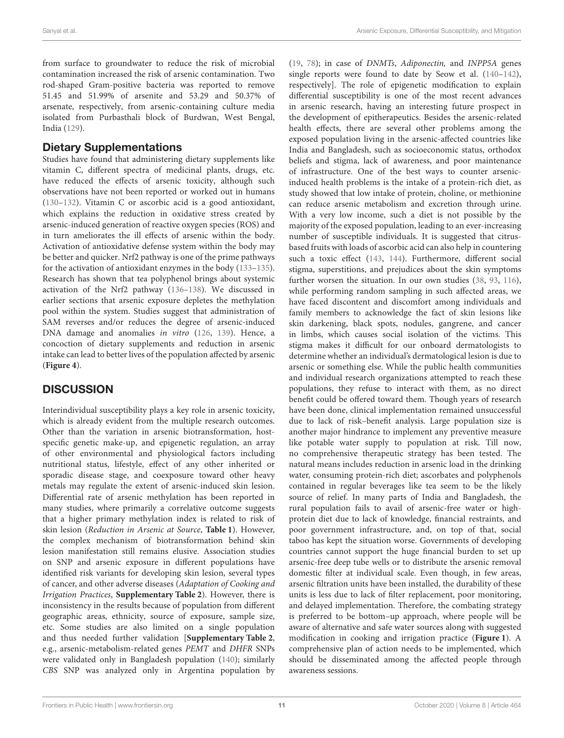from surface to groundwater to reduce the risk of microbial contamination increased the risk of arsenic contamination. Two rod-shaped Gram-positive bacteria was reported to remove 51.45 and 51.99% of arsenite and 53.29 and 50.37% of arsenate, respectively, from arsenic-containing culture media isolated from Purbasthali block of Burdwan, West Bengal, India (129).

## Dietary Supplementations

Studies have found that administering dietary supplements like vitamin C, different spectra of medicinal plants, drugs, etc. have reduced the effects of arsenic toxicity, although such observations have not been reported or worked out in humans (130–132). Vitamin C or ascorbic acid is a good antioxidant, which explains the reduction in oxidative stress created by arsenic-induced generation of reactive oxygen species (ROS) and in turn ameliorates the ill effects of arsenic within the body. Activation of antioxidative defense system within the body may be better and quicker. Nrf2 pathway is one of the prime pathways for the activation of antioxidant enzymes in the body (133–135). Research has shown that tea polyphenol brings about systemic activation of the Nrf2 pathway (136–138). We discussed in earlier sections that arsenic exposure depletes the methylation pool within the system. Studies suggest that administration of SAM reverses and/or reduces the degree of arsenic-induced DNA damage and anomalies in vitro (126, 139). Hence, a concoction of dietary supplements and reduction in arsenic intake can lead to better lives of the population affected by arsenic (**Figure 4**).

# **DISCUSSION**

Interindividual susceptibility plays a key role in arsenic toxicity, which is already evident from the multiple research outcomes. Other than the variation in arsenic biotransformation, hostspecific genetic make-up, and epigenetic regulation, an array of other environmental and physiological factors including nutritional status, lifestyle, effect of any other inherited or sporadic disease stage, and coexposure toward other heavy metals may regulate the extent of arsenic-induced skin lesion. Differential rate of arsenic methylation has been reported in many studies, where primarily a correlative outcome suggests that a higher primary methylation index is related to risk of skin lesion (Reduction in Arsenic at Source, **Table 1**). However, the complex mechanism of biotransformation behind skin lesion manifestation still remains elusive. Association studies on SNP and arsenic exposure in different populations have identified risk variants for developing skin lesion, several types of cancer, and other adverse diseases (Adaptation of Cooking and Irrigation Practices, **Supplementary Table 2**). However, there is inconsistency in the results because of population from different geographic areas, ethnicity, source of exposure, sample size, etc. Some studies are also limited on a single population and thus needed further validation [**Supplementary Table 2**, e.g., arsenic-metabolism-related genes PEMT and DHFR SNPs were validated only in Bangladesh population (140); similarly CBS SNP was analyzed only in Argentina population by (19, 78); in case of DNMTs, Adiponectin, and INPP5A genes single reports were found to date by Seow et al. (140–142), respectively]. The role of epigenetic modification to explain differential susceptibility is one of the most recent advances in arsenic research, having an interesting future prospect in the development of epitherapeutics. Besides the arsenic-related health effects, there are several other problems among the exposed population living in the arsenic-affected countries like India and Bangladesh, such as socioeconomic status, orthodox beliefs and stigma, lack of awareness, and poor maintenance of infrastructure. One of the best ways to counter arsenicinduced health problems is the intake of a protein-rich diet, as study showed that low intake of protein, choline, or methionine can reduce arsenic metabolism and excretion through urine. With a very low income, such a diet is not possible by the majority of the exposed population, leading to an ever-increasing number of susceptible individuals. It is suggested that citrusbased fruits with loads of ascorbic acid can also help in countering such a toxic effect (143, 144). Furthermore, different social stigma, superstitions, and prejudices about the skin symptoms further worsen the situation. In our own studies (38, 93, 116), while performing random sampling in such affected areas, we have faced discontent and discomfort among individuals and family members to acknowledge the fact of skin lesions like skin darkening, black spots, nodules, gangrene, and cancer in limbs, which causes social isolation of the victims. This stigma makes it difficult for our onboard dermatologists to determine whether an individual's dermatological lesion is due to arsenic or something else. While the public health communities and individual research organizations attempted to reach these populations, they refuse to interact with them, as no direct benefit could be offered toward them. Though years of research have been done, clinical implementation remained unsuccessful due to lack of risk–benefit analysis. Large population size is another major hindrance to implement any preventive measure like potable water supply to population at risk. Till now, no comprehensive therapeutic strategy has been tested. The natural means includes reduction in arsenic load in the drinking water, consuming protein-rich diet; ascorbates and polyphenols contained in regular beverages like tea seem to be the likely source of relief. In many parts of India and Bangladesh, the rural population fails to avail of arsenic-free water or highprotein diet due to lack of knowledge, financial restraints, and poor government infrastructure, and, on top of that, social taboo has kept the situation worse. Governments of developing countries cannot support the huge financial burden to set up arsenic-free deep tube wells or to distribute the arsenic removal domestic filter at individual scale. Even though, in few areas, arsenic filtration units have been installed, the durability of these units is less due to lack of filter replacement, poor monitoring, and delayed implementation. Therefore, the combating strategy is preferred to be bottom–up approach, where people will be aware of alternative and safe water sources along with suggested modification in cooking and irrigation practice (**Figure 1**). A comprehensive plan of action needs to be implemented, which should be disseminated among the affected people through awareness sessions.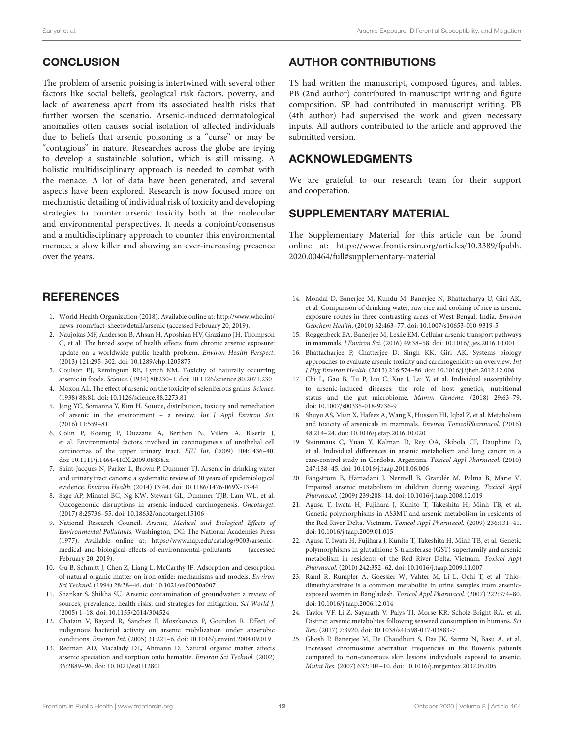# **CONCLUSION**

The problem of arsenic poising is intertwined with several other factors like social beliefs, geological risk factors, poverty, and lack of awareness apart from its associated health risks that further worsen the scenario. Arsenic-induced dermatological anomalies often causes social isolation of affected individuals due to beliefs that arsenic poisoning is a "curse" or may be "contagious" in nature. Researches across the globe are trying to develop a sustainable solution, which is still missing. A holistic multidisciplinary approach is needed to combat with the menace. A lot of data have been generated, and several aspects have been explored. Research is now focused more on mechanistic detailing of individual risk of toxicity and developing strategies to counter arsenic toxicity both at the molecular and environmental perspectives. It needs a conjoint/consensus and a multidisciplinary approach to counter this environmental menace, a slow killer and showing an ever-increasing presence over the years.

## **REFERENCES**

- 1. World Health Organization (2018). Available online at: http://www.who.int/ news-room/fact-sheets/detail/arsenic (accessed February 20, 2019).
- 2. Naujokas MF, Anderson B, Ahsan H, Aposhian HV, Graziano JH, Thompson C, et al. The broad scope of health effects from chronic arsenic exposure: update on a worldwide public health problem. Environ Health Perspect. (2013) 121:295–302. doi: 10.1289/ehp.1205875
- 3. Coulson EJ, Remington RE, Lynch KM. Toxicity of naturally occurring arsenic in foods. Science. (1934) 80:230–1. doi: 10.1126/science.80.2071.230
- 4. Moxon AL. The effect of arsenic on the toxicity of seleniferous grains. Science. (1938) 88:81. doi: 10.1126/science.88.2273.81
- 5. Jang YC, Somanna Y, Kim H. Source, distribution, toxicity and remediation of arsenic in the environment – a review. Int J Appl Environ Sci. (2016) 11:559–81.
- 6. Colin P, Koenig P, Ouzzane A, Berthon N, Villers A, Biserte J, et al. Environmental factors involved in carcinogenesis of urothelial cell carcinomas of the upper urinary tract. BJU Int. (2009) 104:1436–40. doi: 10.1111/j.1464-410X.2009.08838.x
- 7. Saint-Jacques N, Parker L, Brown P, Dummer TJ. Arsenic in drinking water and urinary tract cancers: a systematic review of 30 years of epidemiological evidence. Environ Health. (2014) 13:44. doi: 10.1186/1476-069X-13-44
- 8. Sage AP, Minatel BC, Ng KW, Stewart GL, Dummer TJB, Lam WL, et al. Oncogenomic disruptions in arsenic-induced carcinogenesis. Oncotarget. (2017) 8:25736–55. doi: 10.18632/oncotarget.15106
- 9. National Research Council. Arsenic, Medical and Biological Effects of Environmental Pollutants. Washington, DC: The National Academies Press (1977). Available online at: https://www.nap.edu/catalog/9003/arsenicmedical-and-biological-effects-of-environmental-pollutants (accessed February 20, 2019).
- 10. Gu B, Schmitt J, Chen Z, Liang L, McCarthy JF. Adsorption and desorption of natural organic matter on iron oxide: mechanisms and models. Environ Sci Technol. (1994) 28:38–46. doi: 10.1021/es00050a007
- 11. Shankar S, Shikha SU. Arsenic contamination of groundwater: a review of sources, prevalence, health risks, and strategies for mitigation. Sci World J. (2005) 1–18. doi: 10.1155/2014/304524
- 12. Chatain V, Bayard R, Sanchez F, Moszkowicz P, Gourdon R. Effect of indigenous bacterial activity on arsenic mobilization under anaerobic conditions. Environ Int. (2005) 31:221–6. doi: 10.1016/j.envint.2004.09.019
- 13. Redman AD, Macalady DL, Ahmann D. Natural organic matter affects arsenic speciation and sorption onto hematite. Environ Sci Technol. (2002) 36:2889–96. doi: 10.1021/es0112801

## AUTHOR CONTRIBUTIONS

TS had written the manuscript, composed figures, and tables. PB (2nd author) contributed in manuscript writing and figure composition. SP had contributed in manuscript writing. PB (4th author) had supervised the work and given necessary inputs. All authors contributed to the article and approved the submitted version.

## ACKNOWLEDGMENTS

We are grateful to our research team for their support and cooperation.

## SUPPLEMENTARY MATERIAL

The Supplementary Material for this article can be found online at: https://www.frontiersin.org/articles/10.3389/fpubh. 2020.00464/full#supplementary-material

- 14. Mondal D, Banerjee M, Kundu M, Banerjee N, Bhattacharya U, Giri AK, et al. Comparison of drinking water, raw rice and cooking of rice as arsenic exposure routes in three contrasting areas of West Bengal, India. Environ Geochem Health. (2010) 32:463–77. doi: 10.1007/s10653-010-9319-5
- 15. Roggenbeck BA, Banerjee M, Leslie EM. Cellular arsenic transport pathways in mammals. J Environ Sci. (2016) 49:38–58. doi: 10.1016/j.jes.2016.10.001
- 16. Bhattacharjee P, Chatterjee D, Singh KK, Giri AK. Systems biology approaches to evaluate arsenic toxicity and carcinogenicity: an overview. Int J Hyg Environ Health. (2013) 216:574–86. doi: 10.1016/j.ijheh.2012.12.008
- 17. Chi L, Gao B, Tu P, Liu C, Xue J, Lai Y, et al. Individual susceptibility to arsenic-induced diseases: the role of host genetics, nutritional status and the gut microbiome. Mamm Genome. (2018) 29:63–79. doi: 10.1007/s00335-018-9736-9
- 18. Shuyu AS, Mian X, Hafeez A, Wang X, Hussain HI, Iqbal Z, et al. Metabolism and toxicity of arsenicals in mammals. Environ ToxicolPharmacol. (2016) 48:214–24. doi: 10.1016/j.etap.2016.10.020
- 19. Steinmaus C, Yuan Y, Kalman D, Rey OA, Skibola CF, Dauphine D, et al. Individual differences in arsenic metabolism and lung cancer in a case-control study in Cordoba, Argentina. Toxicol Appl Pharmacol. (2010) 247:138–45. doi: 10.1016/j.taap.2010.06.006
- 20. Fängström B, Hamadani J, Nermell B, Grandér M, Palma B, Marie V. Impaired arsenic metabolism in children during weaning. Toxicol Appl Pharmacol. (2009) 239:208–14. doi: 10.1016/j.taap.2008.12.019
- 21. Agusa T, Iwata H, Fujihara J, Kunito T, Takeshita H, Minh TB, et al. Genetic polymorphisms in AS3MT and arsenic metabolism in residents of the Red River Delta, Vietnam. Toxicol Appl Pharmacol. (2009) 236:131–41. doi: 10.1016/j.taap.2009.01.015
- 22. Agusa T, Iwata H, Fujihara J, Kunito T, Takeshita H, Minh TB, et al. Genetic polymorphisms in glutathione S-transferase (GST) superfamily and arsenic metabolism in residents of the Red River Delta, Vietnam. Toxicol Appl Pharmacol. (2010) 242:352–62. doi: 10.1016/j.taap.2009.11.007
- 23. Raml R, Rumpler A, Goessler W, Vahter M, Li L, Ochi T, et al. Thiodimethylarsinate is a common metabolite in urine samples from arsenicexposed women in Bangladesh. Toxicol Appl Pharmacol. (2007) 222:374–80. doi: 10.1016/j.taap.2006.12.014
- 24. Taylor VF, Li Z, Sayarath V, Palys TJ, Morse KR, Scholz-Bright RA, et al. Distinct arsenic metabolites following seaweed consumption in humans. Sci Rep. (2017) 7:3920. doi: 10.1038/s41598-017-03883-7
- 25. Ghosh P, Banerjee M, De Chaudhuri S, Das JK, Sarma N, Basu A, et al. Increased chromosome aberration frequencies in the Bowen's patients compared to non-cancerous skin lesions individuals exposed to arsenic. Mutat Res. (2007) 632:104–10. doi: 10.1016/j.mrgentox.2007.05.005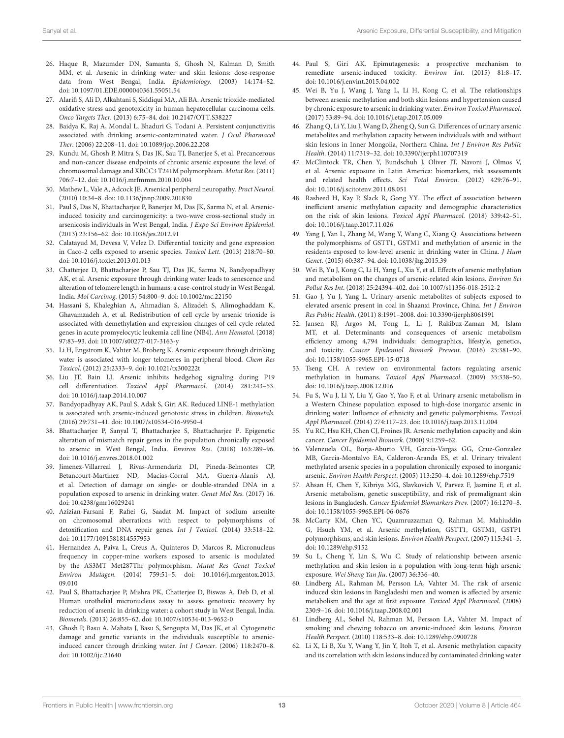- 26. Haque R, Mazumder DN, Samanta S, Ghosh N, Kalman D, Smith MM, et al. Arsenic in drinking water and skin lesions: dose-response data from West Bengal, India. Epidemiology. (2003) 14:174–82. doi: 10.1097/01.EDE.0000040361.55051.54
- 27. Alarifi S, Ali D, Alkahtani S, Siddiqui MA, Ali BA. Arsenic trioxide-mediated oxidative stress and genotoxicity in human hepatocellular carcinoma cells. Onco Targets Ther. (2013) 6:75–84. doi: 10.2147/OTT.S38227
- 28. Baidya K, Raj A, Mondal L, Bhaduri G, Todani A. Persistent conjunctivitis associated with drinking arsenic-contaminated water. J Ocul Pharmacol Ther. (2006) 22:208–11. doi: 10.1089/jop.2006.22.208
- 29. Kundu M, Ghosh P, Mitra S, Das JK, Sau TJ, Banerjee S, et al. Precancerous and non-cancer disease endpoints of chronic arsenic exposure: the level of chromosomal damage and XRCC3 T241M polymorphism. Mutat Res. (2011) 706:7–12. doi: 10.1016/j.mrfmmm.2010.10.004
- 30. Mathew L, Vale A, Adcock JE. Arsenical peripheral neuropathy. Pract Neurol. (2010) 10:34–8. doi: 10.1136/jnnp.2009.201830
- 31. Paul S, Das N, Bhattacharjee P, Banerjee M, Das JK, Sarma N, et al. Arsenicinduced toxicity and carcinogenicity: a two-wave cross-sectional study in arsenicosis individuals in West Bengal, India. J Expo Sci Environ Epidemiol. (2013) 23:156–62. doi: 10.1038/jes.2012.91
- 32. Calatayud M, Devesa V, Velez D. Differential toxicity and gene expression in Caco-2 cells exposed to arsenic species. Toxicol Lett. (2013) 218:70–80. doi: 10.1016/j.toxlet.2013.01.013
- 33. Chatterjee D, Bhattacharjee P, Sau TJ, Das JK, Sarma N, Bandyopadhyay AK, et al. Arsenic exposure through drinking water leads to senescence and alteration of telomere length in humans: a case-control study in West Bengal, India. Mol Carcinog. (2015) 54:800–9. doi: 10.1002/mc.22150
- 34. Hassani S, Khaleghian A, Ahmadian S, Alizadeh S, Alimoghaddam K, Ghavamzadeh A, et al. Redistribution of cell cycle by arsenic trioxide is associated with demethylation and expression changes of cell cycle related genes in acute promyelocytic leukemia cell line (NB4). Ann Hematol. (2018) 97:83–93. doi: 10.1007/s00277-017-3163-y
- 35. Li H, Engstrom K, Vahter M, Broberg K. Arsenic exposure through drinking water is associated with longer telomeres in peripheral blood. Chem Res Toxicol. (2012) 25:2333–9. doi: 10.1021/tx300222t
- 36. Liu JT, Bain LJ. Arsenic inhibits hedgehog signaling during P19 cell differentiation. Toxicol Appl Pharmacol. (2014) 281:243–53. doi: 10.1016/j.taap.2014.10.007
- 37. Bandyopadhyay AK, Paul S, Adak S, Giri AK. Reduced LINE-1 methylation is associated with arsenic-induced genotoxic stress in children. Biometals. (2016) 29:731–41. doi: 10.1007/s10534-016-9950-4
- 38. Bhattacharjee P, Sanyal T, Bhattacharjee S, Bhattacharjee P. Epigenetic alteration of mismatch repair genes in the population chronically exposed to arsenic in West Bengal, India. Environ Res. (2018) 163:289–96. doi: 10.1016/j.envres.2018.01.002
- 39. Jimenez-Villarreal J, Rivas-Armendariz DI, Pineda-Belmontes CP, Betancourt-Martinez ND, Macias-Corral MA, Guerra-Alanis AJ, et al. Detection of damage on single- or double-stranded DNA in a population exposed to arsenic in drinking water. Genet Mol Res. (2017) 16. doi: 10.4238/gmr16029241
- 40. Azizian-Farsani F, Rafiei G, Saadat M. Impact of sodium arsenite on chromosomal aberrations with respect to polymorphisms of detoxification and DNA repair genes. Int J Toxicol. (2014) 33:518–22. doi: 10.1177/1091581814557953
- 41. Hernandez A, Paiva L, Creus A, Quinteros D, Marcos R. Micronucleus frequency in copper-mine workers exposed to arsenic is modulated by the AS3MT Met287Thr polymorphism. Mutat Res Genet Toxicol Environ Mutagen. (2014) 759:51–5. doi: 10.1016/j.mrgentox.2013. 09.010
- 42. Paul S, Bhattacharjee P, Mishra PK, Chatterjee D, Biswas A, Deb D, et al. Human urothelial micronucleus assay to assess genotoxic recovery by reduction of arsenic in drinking water: a cohort study in West Bengal, India. Biometals. (2013) 26:855–62. doi: 10.1007/s10534-013-9652-0
- 43. Ghosh P, Basu A, Mahata J, Basu S, Sengupta M, Das JK, et al. Cytogenetic damage and genetic variants in the individuals susceptible to arsenicinduced cancer through drinking water. Int J Cancer. (2006) 118:2470–8. doi: 10.1002/ijc.21640
- 44. Paul S, Giri AK. Epimutagenesis: a prospective mechanism to remediate arsenic-induced toxicity. Environ Int. (2015) 81:8–17. doi: 10.1016/j.envint.2015.04.002
- 45. Wei B, Yu J, Wang J, Yang L, Li H, Kong C, et al. The relationships between arsenic methylation and both skin lesions and hypertension caused by chronic exposure to arsenic in drinking water. Environ Toxicol Pharmacol. (2017) 53:89–94. doi: 10.1016/j.etap.2017.05.009
- 46. Zhang Q, Li Y, Liu J, Wang D, Zheng Q, Sun G. Differences of urinary arsenic metabolites and methylation capacity between individuals with and without skin lesions in Inner Mongolia, Northern China. Int J Environ Res Public Health. (2014) 11:7319–32. doi: 10.3390/ijerph110707319
- 47. McClintock TR, Chen Y, Bundschuh J, Oliver JT, Navoni J, Olmos V, et al. Arsenic exposure in Latin America: biomarkers, risk assessments and related health effects. Sci Total Environ. (2012) 429:76–91. doi: 10.1016/j.scitotenv.2011.08.051
- 48. Rasheed H, Kay P, Slack R, Gong YY. The effect of association between inefficient arsenic methylation capacity and demographic characteristics on the risk of skin lesions. Toxicol Appl Pharmacol. (2018) 339:42–51. doi: 10.1016/j.taap.2017.11.026
- 49. Yang J, Yan L, Zhang M, Wang Y, Wang C, Xiang Q. Associations between the polymorphisms of GSTT1, GSTM1 and methylation of arsenic in the residents exposed to low-level arsenic in drinking water in China. J Hum Genet. (2015) 60:387–94. doi: 10.1038/jhg.2015.39
- 50. Wei B, Yu J, Kong C, Li H, Yang L, Xia Y, et al. Effects of arsenic methylation and metabolism on the changes of arsenic-related skin lesions. Environ Sci Pollut Res Int. (2018) 25:24394–402. doi: 10.1007/s11356-018-2512-2
- 51. Gao J, Yu J, Yang L. Urinary arsenic metabolites of subjects exposed to elevated arsenic present in coal in Shaanxi Province, China. Int J Environ Res Public Health. (2011) 8:1991–2008. doi: 10.3390/ijerph8061991
- 52. Jansen RJ, Argos M, Tong L, Li J, Rakibuz-Zaman M, Islam MT, et al. Determinants and consequences of arsenic metabolism efficiency among 4,794 individuals: demographics, lifestyle, genetics, and toxicity. Cancer Epidemiol Biomark Prevent. (2016) 25:381–90. doi: 10.1158/1055-9965.EPI-15-0718
- 53. Tseng CH. A review on environmental factors regulating arsenic methylation in humans. Toxicol Appl Pharmacol. (2009) 35:338–50. doi: 10.1016/j.taap.2008.12.016
- 54. Fu S, Wu J, Li Y, Liu Y, Gao Y, Yao F, et al. Urinary arsenic metabolism in a Western Chinese population exposed to high-dose inorganic arsenic in drinking water: Influence of ethnicity and genetic polymorphisms. Toxicol Appl Pharmacol. (2014) 274:117–23. doi: 10.1016/j.taap.2013.11.004
- 55. Yu RC, Hsu KH, Chen CJ, Froines JR. Arsenic methylation capacity and skin cancer. Cancer Epidemiol Biomark. (2000) 9:1259–62.
- 56. Valenzuela OL, Borja-Aburto VH, Garcia-Vargas GG, Cruz-Gonzalez MB, Garcia-Montalvo EA, Calderon-Aranda ES, et al. Urinary trivalent methylated arsenic species in a population chronically exposed to inorganic arsenic. Environ Health Perspect. (2005) 113:250–4. doi: 10.1289/ehp.7519
- 57. Ahsan H, Chen Y, Kibriya MG, Slavkovich V, Parvez F, Jasmine F, et al. Arsenic metabolism, genetic susceptibility, and risk of premalignant skin lesions in Bangladesh. Cancer Epidemiol Biomarkers Prev. (2007) 16:1270–8. doi: 10.1158/1055-9965.EPI-06-0676
- 58. McCarty KM, Chen YC, Quamruzzaman Q, Rahman M, Mahiuddin G, Hsueh YM, et al. Arsenic methylation, GSTT1, GSTM1, GSTP1 polymorphisms, and skin lesions. Environ Health Perspect. (2007) 115:341–5. doi: 10.1289/ehp.9152
- 59. Su L, Cheng Y, Lin S, Wu C. Study of relationship between arsenic methylation and skin lesion in a population with long-term high arsenic exposure. Wei Sheng Yan Jiu. (2007) 36:336–40.
- 60. Lindberg AL, Rahman M, Persson LA, Vahter M. The risk of arsenic induced skin lesions in Bangladeshi men and women is affected by arsenic metabolism and the age at first exposure. Toxicol Appl Pharmacol. (2008) 230:9–16. doi: 10.1016/j.taap.2008.02.001
- 61. Lindberg AL, Sohel N, Rahman M, Persson LA, Vahter M. Impact of smoking and chewing tobacco on arsenic-induced skin lesions. Environ Health Perspect. (2010) 118:533–8. doi: 10.1289/ehp.0900728
- 62. Li X, Li B, Xu Y, Wang Y, Jin Y, Itoh T, et al. Arsenic methylation capacity and its correlation with skin lesions induced by contaminated drinking water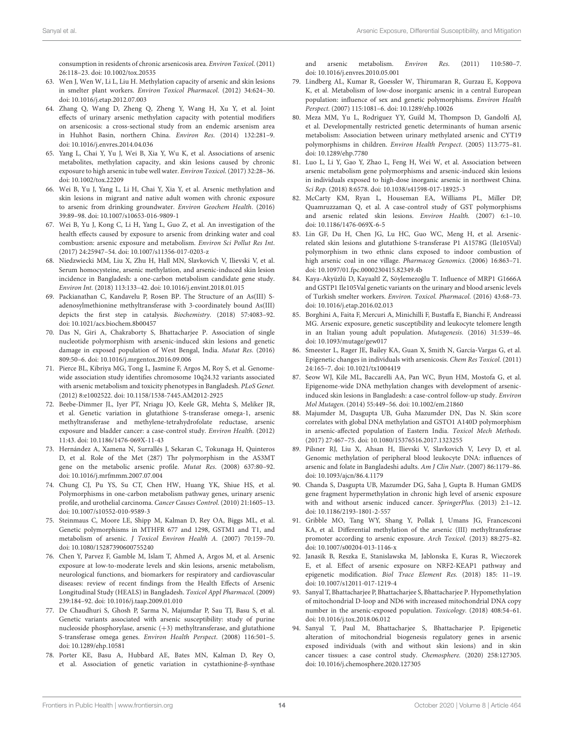consumption in residents of chronic arsenicosis area. Environ Toxicol. (2011) 26:118–23. doi: 10.1002/tox.20535

- 63. Wen J, Wen W, Li L, Liu H. Methylation capacity of arsenic and skin lesions in smelter plant workers. Environ Toxicol Pharmacol. (2012) 34:624–30. doi: 10.1016/j.etap.2012.07.003
- 64. Zhang Q, Wang D, Zheng Q, Zheng Y, Wang H, Xu Y, et al. Joint effects of urinary arsenic methylation capacity with potential modifiers on arsenicosis: a cross-sectional study from an endemic arsenism area in Huhhot Basin, northern China. Environ Res. (2014) 132:281–9. doi: 10.1016/j.envres.2014.04.036
- 65. Yang L, Chai Y, Yu J, Wei B, Xia Y, Wu K, et al. Associations of arsenic metabolites, methylation capacity, and skin lesions caused by chronic exposure to high arsenic in tube well water. Environ Toxicol. (2017) 32:28–36. doi: 10.1002/tox.22209
- 66. Wei B, Yu J, Yang L, Li H, Chai Y, Xia Y, et al. Arsenic methylation and skin lesions in migrant and native adult women with chronic exposure to arsenic from drinking groundwater. Environ Geochem Health. (2016) 39:89–98. doi: 10.1007/s10653-016-9809-1
- 67. Wei B, Yu J, Kong C, Li H, Yang L, Guo Z, et al. An investigation of the health effects caused by exposure to arsenic from drinking water and coal combustion: arsenic exposure and metabolism. Environ Sci Pollut Res Int. (2017) 24:25947–54. doi: 10.1007/s11356-017-0203-z
- 68. Niedzwiecki MM, Liu X, Zhu H, Hall MN, Slavkovich V, Ilievski V, et al. Serum homocysteine, arsenic methylation, and arsenic-induced skin lesion incidence in Bangladesh: a one-carbon metabolism candidate gene study. Environ Int. (2018) 113:133–42. doi: 10.1016/j.envint.2018.01.015
- 69. Packianathan C, Kandavelu P, Rosen BP. The Structure of an As(III) Sadenosylmethionine methyltransferase with 3-coordinately bound As(III) depicts the first step in catalysis. Biochemistry. (2018) 57:4083–92. doi: 10.1021/acs.biochem.8b00457
- 70. Das N, Giri A, Chakraborty S, Bhattacharjee P. Association of single nucleotide polymorphism with arsenic-induced skin lesions and genetic damage in exposed population of West Bengal, India. Mutat Res. (2016) 809:50–6. doi: 10.1016/j.mrgentox.2016.09.006
- 71. Pierce BL, Kibriya MG, Tong L, Jasmine F, Argos M, Roy S, et al. Genomewide association study identifies chromosome 10q24.32 variants associated with arsenic metabolism and toxicity phenotypes in Bangladesh. PLoS Genet. (2012) 8:e1002522. doi: 10.1158/1538-7445.AM2012-2925
- 72. Beebe-Dimmer JL, Iyer PT, Nriagu JO, Keele GR, Mehta S, Meliker JR, et al. Genetic variation in glutathione S-transferase omega-1, arsenic methyltransferase and methylene-tetrahydrofolate reductase, arsenic exposure and bladder cancer: a case-control study. Environ Health. (2012) 11:43. doi: 10.1186/1476-069X-11-43
- 73. Hernández A, Xamena N, Surrallés J, Sekaran C, Tokunaga H, Quinteros D, et al. Role of the Met (287) Thr polymorphism in the AS3MT gene on the metabolic arsenic profile. Mutat Res. (2008) 637:80–92. doi: 10.1016/j.mrfmmm.2007.07.004
- 74. Chung CJ, Pu YS, Su CT, Chen HW, Huang YK, Shiue HS, et al. Polymorphisms in one-carbon metabolism pathway genes, urinary arsenic profile, and urothelial carcinoma. Cancer Causes Control. (2010) 21:1605–13. doi: 10.1007/s10552-010-9589-3
- 75. Steinmaus C, Moore LE, Shipp M, Kalman D, Rey OA, Biggs ML, et al. Genetic polymorphisms in MTHFR 677 and 1298, GSTM1 and T1, and metabolism of arsenic. J Toxicol Environ Health A. (2007) 70:159–70. doi: 10.1080/15287390600755240
- 76. Chen Y, Parvez F, Gamble M, Islam T, Ahmed A, Argos M, et al. Arsenic exposure at low-to-moderate levels and skin lesions, arsenic metabolism, neurological functions, and biomarkers for respiratory and cardiovascular diseases: review of recent findings from the Health Effects of Arsenic Longitudinal Study (HEALS) in Bangladesh. Toxicol Appl Pharmacol. (2009) 239:184–92. doi: 10.1016/j.taap.2009.01.010
- 77. De Chaudhuri S, Ghosh P, Sarma N, Majumdar P, Sau TJ, Basu S, et al. Genetic variants associated with arsenic susceptibility: study of purine nucleoside phosphorylase, arsenic  $(+3)$  methyltransferase, and glutathione S-transferase omega genes. Environ Health Perspect. (2008) 116:501–5. doi: 10.1289/ehp.10581
- 78. Porter KE, Basu A, Hubbard AE, Bates MN, Kalman D, Rey O, et al. Association of genetic variation in cystathionine-β-synthase

and arsenic metabolism. Environ Res. (2011) 110:580–7. doi: 10.1016/j.envres.2010.05.001

- 79. Lindberg AL, Kumar R, Goessler W, Thirumaran R, Gurzau E, Koppova K, et al. Metabolism of low-dose inorganic arsenic in a central European population: influence of sex and genetic polymorphisms. Environ Health Perspect. (2007) 115:1081–6. doi: 10.1289/ehp.10026
- 80. Meza MM, Yu L, Rodriguez YY, Guild M, Thompson D, Gandolfi AJ, et al. Developmentally restricted genetic determinants of human arsenic metabolism: Association between urinary methylated arsenic and CYT19 polymorphisms in children. Environ Health Perspect. (2005) 113:775–81. doi: 10.1289/ehp.7780
- 81. Luo L, Li Y, Gao Y, Zhao L, Feng H, Wei W, et al. Association between arsenic metabolism gene polymorphisms and arsenic-induced skin lesions in individuals exposed to high-dose inorganic arsenic in northwest China. Sci Rep. (2018) 8:6578. doi: 10.1038/s41598-017-18925-3
- 82. McCarty KM, Ryan L, Houseman EA, Williams PL, Miller DP, Quamruzzaman Q, et al. A case-control study of GST polymorphisms and arsenic related skin lesions. Environ Health. (2007) 6:1–10. doi: 10.1186/1476-069X-6-5
- 83. Lin GF, Du H, Chen JG, Lu HC, Guo WC, Meng H, et al. Arsenicrelated skin lesions and glutathione S-transferase P1 A1578G (Ile105Val) polymorphism in two ethnic clans exposed to indoor combustion of high arsenic coal in one village. Pharmacog Genomics. (2006) 16:863–71. doi: 10.1097/01.fpc.0000230415.82349.4b
- 84. Kaya-Akyüzlü D, Kayaaltl Z, Söylemezoğlu T. Influence of MRP1 G1666A and GSTP1 Ile105Val genetic variants on the urinary and blood arsenic levels of Turkish smelter workers. Environ. Toxicol. Pharmacol. (2016) 43:68–73. doi: 10.1016/j.etap.2016.02.013
- 85. Borghini A, Faita F, Mercuri A, Minichilli F, Bustaffa E, Bianchi F, Andreassi MG. Arsenic exposure, genetic susceptibility and leukocyte telomere length in an Italian young adult population. Mutagenesis. (2016) 31:539–46. doi: 10.1093/mutage/gew017
- 86. Smeester L, Rager JE, Bailey KA, Guan X, Smith N, García-Vargas G, et al. Epigenetic changes in individuals with arsenicosis. Chem Res Toxicol. (2011) 24:165–7. doi: 10.1021/tx1004419
- 87. Seow WJ, Kile ML, Baccarelli AA, Pan WC, Byun HM, Mostofa G, et al. Epigenome-wide DNA methylation changes with development of arsenicinduced skin lesions in Bangladesh: a case-control follow-up study. Environ Mol Mutagen. (2014) 55:449–56. doi: 10.1002/em.21860
- 88. Majumder M, Dasgupta UB, Guha Mazumder DN, Das N. Skin score correlates with global DNA methylation and GSTO1 A140D polymorphism in arsenic-affected population of Eastern India. Toxicol Mech Methods. (2017) 27:467–75. doi: 10.1080/15376516.2017.1323255
- 89. Pilsner RJ, Liu X, Ahsan H, Ilievski V, Slavkovich V, Levy D, et al. Genomic methylation of peripheral blood leukocyte DNA: influences of arsenic and folate in Bangladeshi adults. Am J Clin Nutr. (2007) 86:1179–86. doi: 10.1093/ajcn/86.4.1179
- 90. Chanda S, Dasgupta UB, Mazumder DG, Saha J, Gupta B. Human GMDS gene fragment hypermethylation in chronic high level of arsenic exposure with and without arsenic induced cancer. SpringerPlus. (2013) 2:1–12. doi: 10.1186/2193-1801-2-557
- 91. Gribble MO, Tang WY, Shang Y, Pollak J, Umans JG, Francesconi KA, et al. Differential methylation of the arsenic (III) methyltransferase promoter according to arsenic exposure. Arch Toxicol. (2013) 88:275–82. doi: 10.1007/s00204-013-1146-x
- 92. Janasik B, Reszka E, Stanislawska M, Jablonska E, Kuras R, Wieczorek E, et al. Effect of arsenic exposure on NRF2-KEAP1 pathway and epigenetic modification. Biol Trace Element Res. (2018) 185: 11–19. doi: 10.1007/s12011-017-1219-4
- 93. Sanyal T, Bhattacharjee P, Bhattacharjee S, Bhattacharjee P. Hypomethylation of mitochondrial D-loop and ND6 with increased mitochondrial DNA copy number in the arsenic-exposed population. Toxicology. (2018) 408:54–61. doi: 10.1016/j.tox.2018.06.012
- 94. Sanyal T, Paul M, Bhattacharjee S, Bhattacharjee P. Epigenetic alteration of mitochondrial biogenesis regulatory genes in arsenic exposed individuals (with and without skin lesions) and in skin cancer tissues: a case control study. Chemosphere. (2020) 258:127305. doi: 10.1016/j.chemosphere.2020.127305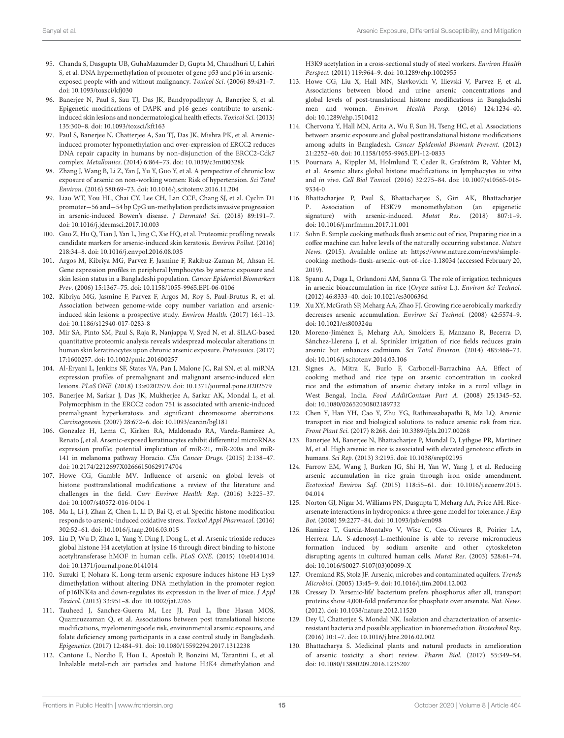- 95. Chanda S, Dasgupta UB, GuhaMazumder D, Gupta M, Chaudhuri U, Lahiri S, et al. DNA hypermethylation of promoter of gene p53 and p16 in arsenicexposed people with and without malignancy. Toxicol Sci. (2006) 89:431–7. doi: 10.1093/toxsci/kfj030
- 96. Banerjee N, Paul S, Sau TJ, Das JK, Bandyopadhyay A, Banerjee S, et al. Epigenetic modifications of DAPK and p16 genes contribute to arsenicinduced skin lesions and nondermatological health effects. Toxicol Sci. (2013) 135:300–8. doi: 10.1093/toxsci/kft163
- 97. Paul S, Banerjee N, Chatterjee A, Sau TJ, Das JK, Mishra PK, et al. Arsenicinduced promoter hypomethylation and over-expression of ERCC2 reduces DNA repair capacity in humans by non-disjunction of the ERCC2-Cdk7 complex. Metallomics. (2014) 6:864–73. doi: 10.1039/c3mt00328k
- 98. Zhang J, Wang B, Li Z, Yan J, Yu Y, Guo Y, et al. A perspective of chronic low exposure of arsenic on non-working women: Risk of hypertension. Sci Total Environ. (2016) 580:69–73. doi: 10.1016/j.scitotenv.2016.11.204
- 99. Liao WT, You HL, Chai CY, Lee CH, Lan CCE, Chang SJ, et al. Cyclin D1 promoter−56 and−54 bp CpG un-methylation predicts invasive progression in arsenic-induced Bowen's disease. J Dermatol Sci. (2018) 89:191–7. doi: 10.1016/j.jdermsci.2017.10.003
- 100. Guo Z, Hu Q, Tian J, Yan L, Jing C, Xie HQ, et al. Proteomic profiling reveals candidate markers for arsenic-induced skin keratosis. Environ Pollut. (2016) 218:34–8. doi: 10.1016/j.envpol.2016.08.035
- 101. Argos M, Kibriya MG, Parvez F, Jasmine F, Rakibuz-Zaman M, Ahsan H. Gene expression profiles in peripheral lymphocytes by arsenic exposure and skin lesion status in a Bangladeshi population. Cancer Epidemiol Biomarkers Prev. (2006) 15:1367–75. doi: 10.1158/1055-9965.EPI-06-0106
- 102. Kibriya MG, Jasmine F, Parvez F, Argos M, Roy S, Paul-Brutus R, et al. Association between genome-wide copy number variation and arsenicinduced skin lesions: a prospective study. Environ Health. (2017) 16:1–13. doi: 10.1186/s12940-017-0283-8
- 103. Mir SA, Pinto SM, Paul S, Raja R, Nanjappa V, Syed N, et al. SILAC-based quantitative proteomic analysis reveals widespread molecular alterations in human skin keratinocytes upon chronic arsenic exposure. Proteomics. (2017) 17:1600257. doi: 10.1002/pmic.201600257
- 104. Al-Eryani L, Jenkins SF, States VA, Pan J, Malone JC, Rai SN, et al. miRNA expression profiles of premalignant and malignant arsenic-induced skin lesions. PLoS ONE. (2018) 13:e0202579. doi: 10.1371/journal.pone.0202579
- 105. Banerjee M, Sarkar J, Das JK, Mukherjee A, Sarkar AK, Mondal L, et al. Polymorphism in the ERCC2 codon 751 is associated with arsenic-induced premalignant hyperkeratosis and significant chromosome aberrations. Carcinogenesis. (2007) 28:672–6. doi: 10.1093/carcin/bgl181
- 106. Gonzalez H, Lema C, Kirken RA, Maldonado RA, Varela-Ramirez A, Renato J, et al. Arsenic-exposed keratinocytes exhibit differential microRNAs expression profile; potential implication of miR-21, miR-200a and miR-141 in melanoma pathway Horacio. Clin Cancer Drugs. (2015) 2:138–47. doi: 10.2174/2212697X02666150629174704
- 107. Howe CG, Gamble MV. Influence of arsenic on global levels of histone posttranslational modifications: a review of the literature and challenges in the field. Curr Environ Health Rep. (2016) 3:225–37. doi: 10.1007/s40572-016-0104-1
- 108. Ma L, Li J, Zhan Z, Chen L, Li D, Bai Q, et al. Specific histone modification responds to arsenic-induced oxidative stress. Toxicol Appl Pharmacol. (2016) 302:52–61. doi: 10.1016/j.taap.2016.03.015
- 109. Liu D, Wu D, Zhao L, Yang Y, Ding J, Dong L, et al. Arsenic trioxide reduces global histone H4 acetylation at lysine 16 through direct binding to histone acetyltransferase hMOF in human cells. PLoS ONE. (2015) 10:e0141014. doi: 10.1371/journal.pone.0141014
- 110. Suzuki T, Nohara K. Long-term arsenic exposure induces histone H3 Lys9 dimethylation without altering DNA methylation in the promoter region of p16INK4a and down-regulates its expression in the liver of mice. J Appl Toxicol. (2013) 33:951–8. doi: 10.1002/jat.2765
- 111. Tauheed J, Sanchez-Guerra M, Lee JJ, Paul L, Ibne Hasan MOS, Quamruzzaman Q, et al. Associations between post translational histone modifications, myelomeningocele risk, environmental arsenic exposure, and folate deficiency among participants in a case control study in Bangladesh. Epigenetics. (2017) 12:484–91. doi: 10.1080/15592294.2017.1312238
- 112. Cantone L, Nordio F, Hou L, Apostoli P, Bonzini M, Tarantini L, et al. Inhalable metal-rich air particles and histone H3K4 dimethylation and

H3K9 acetylation in a cross-sectional study of steel workers. Environ Health Perspect. (2011) 119:964–9. doi: 10.1289/ehp.1002955

- 113. Howe CG, Liu X, Hall MN, Slavkovich V, Ilievski V, Parvez F, et al. Associations between blood and urine arsenic concentrations and global levels of post-translational histone modifications in Bangladeshi men and women. Environ. Health Persp. (2016) 124:1234–40. doi: 10.1289/ehp.1510412
- 114. Chervona Y, Hall MN, Arita A, Wu F, Sun H, Tseng HC, et al. Associations between arsenic exposure and global posttranslational histone modifications among adults in Bangladesh. Cancer Epidemiol Biomark Prevent. (2012) 21:2252–60. doi: 10.1158/1055-9965.EPI-12-0833
- 115. Pournara A, Kippler M, Holmlund T, Ceder R, Grafström R, Vahter M, et al. Arsenic alters global histone modifications in lymphocytes in vitro and in vivo. Cell Biol Toxicol. (2016) 32:275–84. doi: 10.1007/s10565-016- 9334-0
- 116. Bhattacharjee P, Paul S, Bhattacharjee S, Giri AK, Bhattacharjee P. Association of H3K79 monomethylation (an epigenetic signature) with arsenic-induced. Mutat Res. (2018) 807:1–9. doi: 10.1016/j.mrfmmm.2017.11.001
- 117. Sohn E. Simple cooking methods flush arsenic out of rice, Preparing rice in a coffee machine can halve levels of the naturally occurring substance. Nature News. (2015). Available online at: https://www.nature.com/news/simplecooking-methods-flush-arsenic-out-of-rice-1.18034 (accessed February 20, 2019).
- 118. Spanu A, Daga L, Orlandoni AM, Sanna G. The role of irrigation techniques in arsenic bioaccumulation in rice (Oryza sativa L.). Environ Sci Technol. (2012) 46:8333–40. doi: 10.1021/es300636d
- 119. Xu XY, McGrath SP, Meharg AA, Zhao FJ. Growing rice aerobically markedly decreases arsenic accumulation. Environ Sci Technol. (2008) 42:5574–9. doi: 10.1021/es800324u
- 120. Moreno-Jiménez E, Meharg AA, Smolders E, Manzano R, Becerra D, Sánchez-Llerena J, et al. Sprinkler irrigation of rice fields reduces grain arsenic but enhances cadmium. Sci Total Environ. (2014) 485:468–73. doi: 10.1016/j.scitotenv.2014.03.106
- 121. Signes A, Mitra K, Burlo F, Carbonell-Barrachina AA. Effect of cooking method and rice type on arsenic concentration in cooked rice and the estimation of arsenic dietary intake in a rural village in West Bengal, India. Food AdditContam Part A. (2008) 25:1345–52. doi: 10.1080/02652030802189732
- 122. Chen Y, Han YH, Cao Y, Zhu YG, Rathinasabapathi B, Ma LQ. Arsenic transport in rice and biological solutions to reduce arsenic risk from rice. Front Plant Sci. (2017) 8:268. doi: 10.3389/fpls.2017.00268
- 123. Banerjee M, Banerjee N, Bhattacharjee P, Mondal D, Lythgoe PR, Martinez M, et al. High arsenic in rice is associated with elevated genotoxic effects in humans. Sci Rep. (2013) 3:2195. doi: 10.1038/srep02195
- 124. Farrow EM, Wang J, Burken JG, Shi H, Yan W, Yang J, et al. Reducing arsenic accumulation in rice grain through iron oxide amendment. Ecotoxicol Environ Saf. (2015) 118:55–61. doi: 10.1016/j.ecoenv.2015. 04.014
- 125. Norton GJ, Nigar M, Williams PN, Dasgupta T, Meharg AA, Price AH. Ricearsenate interactions in hydroponics: a three-gene model for tolerance. J Exp Bot. (2008) 59:2277–84. doi: 10.1093/jxb/ern098
- 126. Ramirez T, Garcia-Montalvo V, Wise C, Cea-Olivares R, Poirier LA, Herrera LA. S-adenosyl-L-methionine is able to reverse micronucleus formation induced by sodium arsenite and other cytoskeleton disrupting agents in cultured human cells. Mutat Res. (2003) 528:61–74. doi: 10.1016/S0027-5107(03)00099-X
- 127. Oremland RS, Stolz JF. Arsenic, microbes and contaminated aquifers. Trends Microbiol. (2005) 13:45–9. doi: 10.1016/j.tim.2004.12.002
- 128. Cressey D. 'Arsenic-life' bacterium prefers phosphorus after all, transport proteins show 4,000-fold preference for phosphate over arsenate. Nat. News. (2012). doi: 10.1038/nature.2012.11520
- 129. Dey U, Chatterjee S, Mondal NK. Isolation and characterization of arsenicresistant bacteria and possible application in bioremediation. Biotechnol Rep. (2016) 10:1–7. doi: 10.1016/j.btre.2016.02.002
- 130. Bhattacharya S. Medicinal plants and natural products in amelioration of arsenic toxicity: a short review. Pharm Biol. (2017) 55:349–54. doi: 10.1080/13880209.2016.1235207